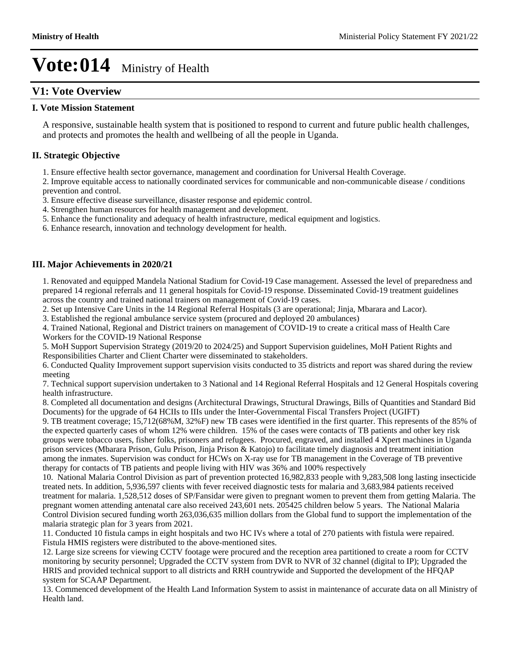### **V1: Vote Overview**

### **I. Vote Mission Statement**

A responsive, sustainable health system that is positioned to respond to current and future public health challenges, and protects and promotes the health and wellbeing of all the people in Uganda.

### **II. Strategic Objective**

1. Ensure effective health sector governance, management and coordination for Universal Health Coverage.

2. Improve equitable access to nationally coordinated services for communicable and non-communicable disease / conditions prevention and control.

- 3. Ensure effective disease surveillance, disaster response and epidemic control.
- 4. Strengthen human resources for health management and development.
- 5. Enhance the functionality and adequacy of health infrastructure, medical equipment and logistics.

6. Enhance research, innovation and technology development for health.

### **III. Major Achievements in 2020/21**

1. Renovated and equipped Mandela National Stadium for Covid-19 Case management. Assessed the level of preparedness and prepared 14 regional referrals and 11 general hospitals for Covid-19 response. Disseminated Covid-19 treatment guidelines across the country and trained national trainers on management of Covid-19 cases.

2. Set up Intensive Care Units in the 14 Regional Referral Hospitals (3 are operational; Jinja, Mbarara and Lacor).

3. Established the regional ambulance service system (procured and deployed 20 ambulances)

4. Trained National, Regional and District trainers on management of COVID-19 to create a critical mass of Health Care Workers for the COVID-19 National Response

5. MoH Support Supervision Strategy (2019/20 to 2024/25) and Support Supervision guidelines, MoH Patient Rights and Responsibilities Charter and Client Charter were disseminated to stakeholders.

6. Conducted Quality Improvement support supervision visits conducted to 35 districts and report was shared during the review meeting

7. Technical support supervision undertaken to 3 National and 14 Regional Referral Hospitals and 12 General Hospitals covering health infrastructure.

8. Completed all documentation and designs (Architectural Drawings, Structural Drawings, Bills of Quantities and Standard Bid Documents) for the upgrade of 64 HCIIs to IIIs under the Inter-Governmental Fiscal Transfers Project (UGIFT)

9. TB treatment coverage; 15,712(68%M, 32%F) new TB cases were identified in the first quarter. This represents of the 85% of the expected quarterly cases of whom 12% were children. 15% of the cases were contacts of TB patients and other key risk groups were tobacco users, fisher folks, prisoners and refugees. Procured, engraved, and installed 4 Xpert machines in Uganda prison services (Mbarara Prison, Gulu Prison, Jinja Prison & Katojo) to facilitate timely diagnosis and treatment initiation among the inmates. Supervision was conduct for HCWs on X-ray use for TB management in the Coverage of TB preventive therapy for contacts of TB patients and people living with HIV was 36% and 100% respectively

10. National Malaria Control Division as part of prevention protected 16,982,833 people with 9,283,508 long lasting insecticide treated nets. In addition, 5,936,597 clients with fever received diagnostic tests for malaria and 3,683,984 patients received treatment for malaria. 1,528,512 doses of SP/Fansidar were given to pregnant women to prevent them from getting Malaria. The pregnant women attending antenatal care also received 243,601 nets. 205425 children below 5 years. The National Malaria Control Division secured funding worth 263,036,635 million dollars from the Global fund to support the implementation of the malaria strategic plan for 3 years from 2021.

11. Conducted 10 fistula camps in eight hospitals and two HC IVs where a total of 270 patients with fistula were repaired. Fistula HMIS registers were distributed to the above-mentioned sites.

12. Large size screens for viewing CCTV footage were procured and the reception area partitioned to create a room for CCTV monitoring by security personnel; Upgraded the CCTV system from DVR to NVR of 32 channel (digital to IP); Upgraded the HRIS and provided technical support to all districts and RRH countrywide and Supported the development of the HFQAP system for SCAAP Department.

13. Commenced development of the Health Land Information System to assist in maintenance of accurate data on all Ministry of Health land.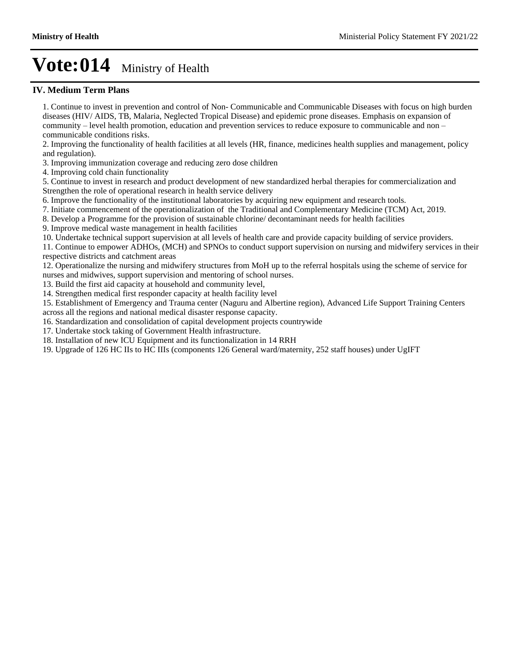### **IV. Medium Term Plans**

1. Continue to invest in prevention and control of Non- Communicable and Communicable Diseases with focus on high burden diseases (HIV/ AIDS, TB, Malaria, Neglected Tropical Disease) and epidemic prone diseases. Emphasis on expansion of community  $-$  level health promotion, education and prevention services to reduce exposure to communicable and non  $$ communicable conditions risks.

2. Improving the functionality of health facilities at all levels (HR, finance, medicines health supplies and management, policy and regulation).

3. Improving immunization coverage and reducing zero dose children

4. Improving cold chain functionality

5. Continue to invest in research and product development of new standardized herbal therapies for commercialization and Strengthen the role of operational research in health service delivery

6. Improve the functionality of the institutional laboratories by acquiring new equipment and research tools.

7. Initiate commencement of the operationalization of the Traditional and Complementary Medicine (TCM) Act, 2019.

8. Develop a Programme for the provision of sustainable chlorine/ decontaminant needs for health facilities

9. Improve medical waste management in health facilities

10. Undertake technical support supervision at all levels of health care and provide capacity building of service providers.

11. Continue to empower ADHOs, (MCH) and SPNOs to conduct support supervision on nursing and midwifery services in their respective districts and catchment areas

12. Operationalize the nursing and midwifery structures from MoH up to the referral hospitals using the scheme of service for nurses and midwives, support supervision and mentoring of school nurses.

13. Build the first aid capacity at household and community level,

14. Strengthen medical first responder capacity at health facility level

15. Establishment of Emergency and Trauma center (Naguru and Albertine region), Advanced Life Support Training Centers across all the regions and national medical disaster response capacity.

16. Standardization and consolidation of capital development projects countrywide

17. Undertake stock taking of Government Health infrastructure.

18. Installation of new ICU Equipment and its functionalization in 14 RRH

19. Upgrade of 126 HC IIs to HC IIIs (components 126 General ward/maternity, 252 staff houses) under UgIFT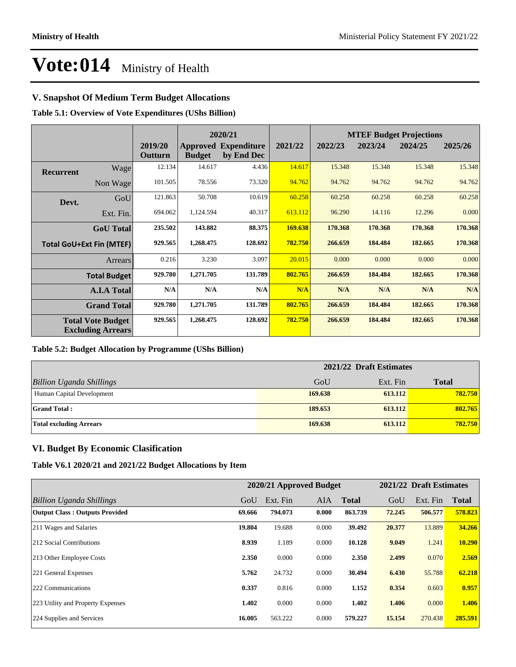### **V. Snapshot Of Medium Term Budget Allocations**

**Table 5.1: Overview of Vote Expenditures (UShs Billion)**

|                  |                                                      |                    |               | 2020/21                                   |         |         | <b>MTEF Budget Projections</b> |         |         |  |
|------------------|------------------------------------------------------|--------------------|---------------|-------------------------------------------|---------|---------|--------------------------------|---------|---------|--|
|                  |                                                      | 2019/20<br>Outturn | <b>Budget</b> | <b>Approved Expenditure</b><br>by End Dec | 2021/22 | 2022/23 | 2023/24                        | 2024/25 | 2025/26 |  |
| <b>Recurrent</b> | Wage                                                 | 12.134             | 14.617        | 4.436                                     | 14.617  | 15.348  | 15.348                         | 15.348  | 15.348  |  |
|                  | Non Wage                                             | 101.505            | 78.556        | 73.320                                    | 94.762  | 94.762  | 94.762                         | 94.762  | 94.762  |  |
| Devt.            | GoU                                                  | 121.863            | 50.708        | 10.619                                    | 60.258  | 60.258  | 60.258                         | 60.258  | 60.258  |  |
|                  | Ext. Fin.                                            | 694.062            | 1,124.594     | 40.317                                    | 613.112 | 96.290  | 14.116                         | 12.296  | 0.000   |  |
|                  | <b>GoU</b> Total                                     | 235.502            | 143.882       | 88.375                                    | 169.638 | 170.368 | 170.368                        | 170.368 | 170.368 |  |
|                  | <b>Total GoU+Ext Fin (MTEF)</b>                      | 929.565            | 1,268.475     | 128.692                                   | 782.750 | 266.659 | 184.484                        | 182.665 | 170.368 |  |
|                  | Arrears                                              | 0.216              | 3.230         | 3.097                                     | 20.015  | 0.000   | 0.000                          | 0.000   | 0.000   |  |
|                  | <b>Total Budget</b>                                  | 929.780            | 1,271.705     | 131.789                                   | 802.765 | 266.659 | 184.484                        | 182.665 | 170.368 |  |
|                  | <b>A.I.A Total</b>                                   | N/A                | N/A           | N/A                                       | N/A     | N/A     | N/A                            | N/A     | N/A     |  |
|                  | <b>Grand Total</b>                                   | 929.780            | 1,271.705     | 131.789                                   | 802.765 | 266.659 | 184.484                        | 182.665 | 170.368 |  |
|                  | <b>Total Vote Budget</b><br><b>Excluding Arrears</b> | 929.565            | 1,268.475     | 128.692                                   | 782.750 | 266.659 | 184.484                        | 182.665 | 170.368 |  |

#### **Table 5.2: Budget Allocation by Programme (UShs Billion)**

|                                 | 2021/22 Draft Estimates |          |              |  |  |  |
|---------------------------------|-------------------------|----------|--------------|--|--|--|
| <b>Billion Uganda Shillings</b> | GoU                     | Ext. Fin | <b>Total</b> |  |  |  |
| Human Capital Development       | 169.638                 | 613.112  | 782.750      |  |  |  |
| <b>Grand Total:</b>             | 189.653                 | 613.112  | 802.765      |  |  |  |
| <b>Total excluding Arrears</b>  | 169.638                 | 613.112  | 782.750      |  |  |  |

### **VI. Budget By Economic Clasification**

**Table V6.1 2020/21 and 2021/22 Budget Allocations by Item**

|                                       | 2020/21 Approved Budget |          |            |              | 2021/22 Draft Estimates |          |              |
|---------------------------------------|-------------------------|----------|------------|--------------|-------------------------|----------|--------------|
| Billion Uganda Shillings              | GoU                     | Ext. Fin | <b>AIA</b> | <b>Total</b> | GoU                     | Ext. Fin | <b>Total</b> |
| <b>Output Class: Outputs Provided</b> | 69.666                  | 794.073  | 0.000      | 863.739      | 72.245                  | 506.577  | 578.823      |
| 211 Wages and Salaries                | 19.804                  | 19.688   | 0.000      | 39.492       | 20.377                  | 13.889   | 34.266       |
| 212 Social Contributions              | 8.939                   | 1.189    | 0.000      | 10.128       | 9.049                   | 1.241    | 10.290       |
| 213 Other Employee Costs              | 2.350                   | 0.000    | 0.000      | 2.350        | 2.499                   | 0.070    | 2.569        |
| 221 General Expenses                  | 5.762                   | 24.732   | 0.000      | 30.494       | 6.430                   | 55.788   | 62.218       |
| 222 Communications                    | 0.337                   | 0.816    | 0.000      | 1.152        | 0.354                   | 0.603    | 0.957        |
| 223 Utility and Property Expenses     | 1.402                   | 0.000    | 0.000      | 1.402        | 1.406                   | 0.000    | 1.406        |
| 224 Supplies and Services             | 16.005                  | 563.222  | 0.000      | 579.227      | 15.154                  | 270.438  | 285.591      |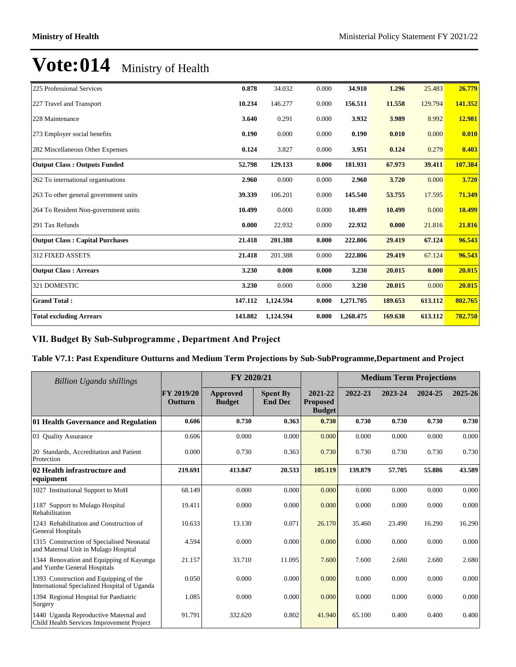| 225 Professional Services              | 0.878   | 34.032    | 0.000 | 34.910    | 1.296   | 25.483  | 26.779  |
|----------------------------------------|---------|-----------|-------|-----------|---------|---------|---------|
| 227 Travel and Transport               | 10.234  | 146.277   | 0.000 | 156.511   | 11.558  | 129.794 | 141.352 |
| 228 Maintenance                        | 3.640   | 0.291     | 0.000 | 3.932     | 3.989   | 8.992   | 12.981  |
| 273 Employer social benefits           | 0.190   | 0.000     | 0.000 | 0.190     | 0.010   | 0.000   | 0.010   |
| 282 Miscellaneous Other Expenses       | 0.124   | 3.827     | 0.000 | 3.951     | 0.124   | 0.279   | 0.403   |
| <b>Output Class: Outputs Funded</b>    | 52.798  | 129.133   | 0.000 | 181.931   | 67.973  | 39.411  | 107.384 |
| 262 To international organisations     | 2.960   | 0.000     | 0.000 | 2.960     | 3.720   | 0.000   | 3.720   |
| 263 To other general government units  | 39.339  | 106.201   | 0.000 | 145.540   | 53.755  | 17.595  | 71.349  |
| 264 To Resident Non-government units   | 10.499  | 0.000     | 0.000 | 10.499    | 10.499  | 0.000   | 10.499  |
| 291 Tax Refunds                        | 0.000   | 22.932    | 0.000 | 22.932    | 0.000   | 21.816  | 21.816  |
| <b>Output Class: Capital Purchases</b> | 21.418  | 201.388   | 0.000 | 222.806   | 29.419  | 67.124  | 96.543  |
| <b>312 FIXED ASSETS</b>                | 21.418  | 201.388   | 0.000 | 222.806   | 29.419  | 67.124  | 96.543  |
| <b>Output Class: Arrears</b>           | 3.230   | 0.000     | 0.000 | 3.230     | 20.015  | 0.000   | 20.015  |
| 321 DOMESTIC                           | 3.230   | 0.000     | 0.000 | 3.230     | 20.015  | 0.000   | 20.015  |
| <b>Grand Total:</b>                    | 147.112 | 1,124.594 | 0.000 | 1,271.705 | 189.653 | 613.112 | 802.765 |
| <b>Total excluding Arrears</b>         | 143.882 | 1,124.594 | 0.000 | 1,268.475 | 169.638 | 613.112 | 782.750 |

### VII. Budget By Sub-Subprogramme, Department And Project

### **Table V7.1: Past Expenditure Outturns and Medium Term Projections by Sub-SubProgramme,Department and Project**

| <b>Billion Uganda shillings</b>                                                        |                       | FY 2020/21                |                                   |                                             |         | <b>Medium Term Projections</b> |         |         |
|----------------------------------------------------------------------------------------|-----------------------|---------------------------|-----------------------------------|---------------------------------------------|---------|--------------------------------|---------|---------|
|                                                                                        | FY 2019/20<br>Outturn | Approved<br><b>Budget</b> | <b>Spent By</b><br><b>End Dec</b> | 2021-22<br><b>Proposed</b><br><b>Budget</b> | 2022-23 | 2023-24                        | 2024-25 | 2025-26 |
| 01 Health Governance and Regulation                                                    | 0.606                 | 0.730                     | 0.363                             | 0.730                                       | 0.730   | 0.730                          | 0.730   | 0.730   |
| 03 Ouality Assurance                                                                   | 0.606                 | 0.000                     | 0.000                             | 0.000                                       | 0.000   | 0.000                          | 0.000   | 0.000   |
| 20 Standards, Accreditation and Patient<br>Protection                                  | 0.000                 | 0.730                     | 0.363                             | 0.730                                       | 0.730   | 0.730                          | 0.730   | 0.730   |
| 02 Health infrastructure and<br>equipment                                              | 219.691               | 413.847                   | 20.533                            | 105.119                                     | 139.879 | 57.705                         | 55.886  | 43.589  |
| 1027 Institutional Support to MoH                                                      | 68.149                | 0.000                     | 0.000                             | 0.000                                       | 0.000   | 0.000                          | 0.000   | 0.000   |
| 1187 Support to Mulago Hospital<br>Rehabilitation                                      | 19.411                | 0.000                     | 0.000                             | 0.000                                       | 0.000   | 0.000                          | 0.000   | 0.000   |
| 1243 Rehabilitation and Construction of<br>General Hospitals                           | 10.633                | 13.130                    | 0.071                             | 26.170                                      | 35.460  | 23.490                         | 16.290  | 16.290  |
| 1315 Construction of Specialised Neonatal<br>and Maternal Unit in Mulago Hospital      | 4.594                 | 0.000                     | 0.000                             | 0.000                                       | 0.000   | 0.000                          | 0.000   | 0.000   |
| 1344 Renovation and Equipping of Kayunga<br>and Yumbe General Hospitals                | 21.157                | 33.710                    | 11.095                            | 7.600                                       | 7.600   | 2.680                          | 2.680   | 2.680   |
| 1393 Construction and Equipping of the<br>International Specialized Hospital of Uganda | 0.050                 | 0.000                     | 0.000                             | 0.000                                       | 0.000   | 0.000                          | 0.000   | 0.000   |
| 1394 Regional Hospital for Paediatric<br>Surgery                                       | 1.085                 | 0.000                     | 0.000                             | 0.000                                       | 0.000   | 0.000                          | 0.000   | 0.000   |
| 1440 Uganda Reproductive Maternal and<br>Child Health Services Improvement Project     | 91.791                | 332.620                   | 0.802                             | 41.940                                      | 65.100  | 0.400                          | 0.400   | 0.400   |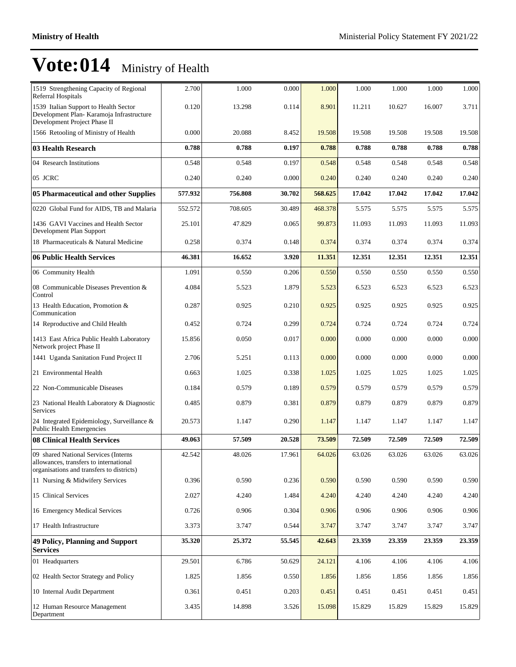| 1519 Strengthening Capacity of Regional<br>Referral Hospitals                                                               | 2.700   | 1.000   | 0.000  | 1.000   | 1.000  | 1.000  | 1.000  | 1.000  |
|-----------------------------------------------------------------------------------------------------------------------------|---------|---------|--------|---------|--------|--------|--------|--------|
| 1539 Italian Support to Health Sector<br>Development Plan- Karamoja Infrastructure<br>Development Project Phase II          | 0.120   | 13.298  | 0.114  | 8.901   | 11.211 | 10.627 | 16.007 | 3.711  |
| 1566 Retooling of Ministry of Health                                                                                        | 0.000   | 20.088  | 8.452  | 19.508  | 19.508 | 19.508 | 19.508 | 19.508 |
| 03 Health Research                                                                                                          | 0.788   | 0.788   | 0.197  | 0.788   | 0.788  | 0.788  | 0.788  | 0.788  |
| 04 Research Institutions                                                                                                    | 0.548   | 0.548   | 0.197  | 0.548   | 0.548  | 0.548  | 0.548  | 0.548  |
| 05 JCRC                                                                                                                     | 0.240   | 0.240   | 0.000  | 0.240   | 0.240  | 0.240  | 0.240  | 0.240  |
| 05 Pharmaceutical and other Supplies                                                                                        | 577.932 | 756.808 | 30.702 | 568.625 | 17.042 | 17.042 | 17.042 | 17.042 |
| 0220 Global Fund for AIDS, TB and Malaria                                                                                   | 552.572 | 708.605 | 30.489 | 468.378 | 5.575  | 5.575  | 5.575  | 5.575  |
| 1436 GAVI Vaccines and Health Sector<br>Development Plan Support                                                            | 25.101  | 47.829  | 0.065  | 99.873  | 11.093 | 11.093 | 11.093 | 11.093 |
| 18 Pharmaceuticals & Natural Medicine                                                                                       | 0.258   | 0.374   | 0.148  | 0.374   | 0.374  | 0.374  | 0.374  | 0.374  |
| 06 Public Health Services                                                                                                   | 46.381  | 16.652  | 3.920  | 11.351  | 12.351 | 12.351 | 12.351 | 12.351 |
| 06 Community Health                                                                                                         | 1.091   | 0.550   | 0.206  | 0.550   | 0.550  | 0.550  | 0.550  | 0.550  |
| 08 Communicable Diseases Prevention &<br>Control                                                                            | 4.084   | 5.523   | 1.879  | 5.523   | 6.523  | 6.523  | 6.523  | 6.523  |
| 13 Health Education, Promotion &<br>Communication                                                                           | 0.287   | 0.925   | 0.210  | 0.925   | 0.925  | 0.925  | 0.925  | 0.925  |
| 14 Reproductive and Child Health                                                                                            | 0.452   | 0.724   | 0.299  | 0.724   | 0.724  | 0.724  | 0.724  | 0.724  |
| 1413 East Africa Public Health Laboratory<br>Network project Phase II                                                       | 15.856  | 0.050   | 0.017  | 0.000   | 0.000  | 0.000  | 0.000  | 0.000  |
| 1441 Uganda Sanitation Fund Project II                                                                                      | 2.706   | 5.251   | 0.113  | 0.000   | 0.000  | 0.000  | 0.000  | 0.000  |
| 21 Environmental Health                                                                                                     | 0.663   | 1.025   | 0.338  | 1.025   | 1.025  | 1.025  | 1.025  | 1.025  |
| 22 Non-Communicable Diseases                                                                                                | 0.184   | 0.579   | 0.189  | 0.579   | 0.579  | 0.579  | 0.579  | 0.579  |
| 23 National Health Laboratory & Diagnostic<br><b>Services</b>                                                               | 0.485   | 0.879   | 0.381  | 0.879   | 0.879  | 0.879  | 0.879  | 0.879  |
| 24 Integrated Epidemiology, Surveillance &<br><b>Public Health Emergencies</b>                                              | 20.573  | 1.147   | 0.290  | 1.147   | 1.147  | 1.147  | 1.147  | 1.147  |
| 08 Clinical Health Services                                                                                                 | 49.063  | 57.509  | 20.528 | 73.509  | 72.509 | 72.509 | 72.509 | 72.509 |
| 09 shared National Services (Interns<br>allowances, transfers to international<br>organisations and transfers to districts) | 42.542  | 48.026  | 17.961 | 64.026  | 63.026 | 63.026 | 63.026 | 63.026 |
| 11 Nursing & Midwifery Services                                                                                             | 0.396   | 0.590   | 0.236  | 0.590   | 0.590  | 0.590  | 0.590  | 0.590  |
| 15 Clinical Services                                                                                                        | 2.027   | 4.240   | 1.484  | 4.240   | 4.240  | 4.240  | 4.240  | 4.240  |
| 16 Emergency Medical Services                                                                                               | 0.726   | 0.906   | 0.304  | 0.906   | 0.906  | 0.906  | 0.906  | 0.906  |
| 17 Health Infrastructure                                                                                                    | 3.373   | 3.747   | 0.544  | 3.747   | 3.747  | 3.747  | 3.747  | 3.747  |
| <b>49 Policy, Planning and Support</b><br><b>Services</b>                                                                   | 35.320  | 25.372  | 55.545 | 42.643  | 23.359 | 23.359 | 23.359 | 23.359 |
| 01 Headquarters                                                                                                             | 29.501  | 6.786   | 50.629 | 24.121  | 4.106  | 4.106  | 4.106  | 4.106  |
| 02 Health Sector Strategy and Policy                                                                                        | 1.825   | 1.856   | 0.550  | 1.856   | 1.856  | 1.856  | 1.856  | 1.856  |
| 10 Internal Audit Department                                                                                                | 0.361   | 0.451   | 0.203  | 0.451   | 0.451  | 0.451  | 0.451  | 0.451  |
| 12 Human Resource Management<br>Department                                                                                  | 3.435   | 14.898  | 3.526  | 15.098  | 15.829 | 15.829 | 15.829 | 15.829 |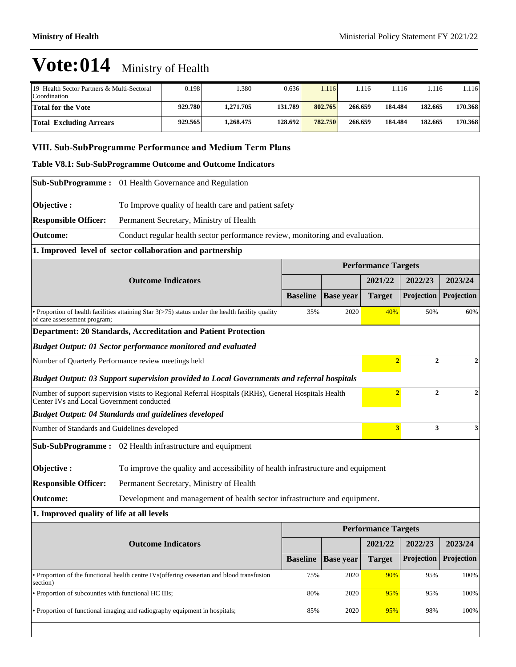| 19 Health Sector Partners & Multi-Sectoral<br>Coordination | 0.198   | .380      | 0.636   | .116    | 1.116   | 1.116   | 1.116   | 1.116   |
|------------------------------------------------------------|---------|-----------|---------|---------|---------|---------|---------|---------|
| Total for the Vote                                         | 929.780 | 1.271.705 | 131.789 | 802.765 | 266.659 | 184.484 | 182.665 | 170.368 |
| <b>Total Excluding Arrears</b>                             | 929.565 | .268.475  | 128.692 | 782.750 | 266.659 | 184.484 | 182.665 | 170.368 |

### VIII. Sub-SubProgramme Performance and Medium Term Plans

#### **Table V8.1: Sub-SubProgramme Outcome and Outcome Indicators**

|                                                                     | Sub-SubProgramme: 01 Health Governance and Regulation                                                |                 |                  |                            |                |                  |  |  |
|---------------------------------------------------------------------|------------------------------------------------------------------------------------------------------|-----------------|------------------|----------------------------|----------------|------------------|--|--|
| Objective:                                                          | To Improve quality of health care and patient safety                                                 |                 |                  |                            |                |                  |  |  |
| <b>Responsible Officer:</b>                                         | Permanent Secretary, Ministry of Health                                                              |                 |                  |                            |                |                  |  |  |
| <b>Outcome:</b>                                                     | Conduct regular health sector performance review, monitoring and evaluation.                         |                 |                  |                            |                |                  |  |  |
| 1. Improved level of sector collaboration and partnership           |                                                                                                      |                 |                  |                            |                |                  |  |  |
|                                                                     |                                                                                                      |                 |                  | <b>Performance Targets</b> |                |                  |  |  |
|                                                                     | <b>Outcome Indicators</b>                                                                            |                 |                  | 2021/22                    | 2022/23        | 2023/24          |  |  |
|                                                                     |                                                                                                      | <b>Baseline</b> | <b>Base year</b> | <b>Target</b>              | Projection     | Projection       |  |  |
| of care assessement program;                                        | • Proportion of health facilities attaining Star $3(>75)$ status under the health facility quality   | 35%             | 2020             | 40%                        | 50%            | 60%              |  |  |
|                                                                     | Department: 20 Standards, Accreditation and Patient Protection                                       |                 |                  |                            |                |                  |  |  |
| <b>Budget Output: 01 Sector performance monitored and evaluated</b> |                                                                                                      |                 |                  |                            |                |                  |  |  |
| Number of Quarterly Performance review meetings held                |                                                                                                      |                 |                  |                            |                | $\overline{2}$   |  |  |
|                                                                     | <b>Budget Output: 03 Support supervision provided to Local Governments and referral hospitals</b>    |                 |                  |                            |                |                  |  |  |
| Center IVs and Local Government conducted                           | Number of support supervision visits to Regional Referral Hospitals (RRHs), General Hospitals Health |                 |                  | $\overline{2}$             | $\overline{2}$ | $\boldsymbol{2}$ |  |  |
|                                                                     | <b>Budget Output: 04 Standards and guidelines developed</b>                                          |                 |                  |                            |                |                  |  |  |
| Number of Standards and Guidelines developed                        |                                                                                                      |                 |                  | $\overline{\mathbf{3}}$    | 3              | 3                |  |  |
|                                                                     | <b>Sub-SubProgramme :</b> 02 Health infrastructure and equipment                                     |                 |                  |                            |                |                  |  |  |
| Objective:                                                          | To improve the quality and accessibility of health infrastructure and equipment                      |                 |                  |                            |                |                  |  |  |
| <b>Responsible Officer:</b>                                         | Permanent Secretary, Ministry of Health                                                              |                 |                  |                            |                |                  |  |  |
| <b>Outcome:</b>                                                     | Development and management of health sector infrastructure and equipment.                            |                 |                  |                            |                |                  |  |  |
| 1. Improved quality of life at all levels                           |                                                                                                      |                 |                  |                            |                |                  |  |  |
|                                                                     |                                                                                                      |                 |                  | <b>Performance Targets</b> |                |                  |  |  |
|                                                                     | <b>Outcome Indicators</b>                                                                            |                 |                  | 2021/22                    | 2022/23        | 2023/24          |  |  |
|                                                                     |                                                                                                      | <b>Baseline</b> | <b>Base year</b> | <b>Target</b>              | Projection     | Projection       |  |  |
| section)                                                            | • Proportion of the functional health centre IVs (offering ceaserian and blood transfusion           | 75%             | 2020             | 90%                        | 95%            | 100%             |  |  |
| • Proportion of subcounties with functional HC IIIs;                |                                                                                                      | 80%             | 2020             | 95%                        | 95%            | 100%             |  |  |
|                                                                     | • Proportion of functional imaging and radiography equipment in hospitals;                           | 85%             | 2020             | 95%                        | 98%            | 100%             |  |  |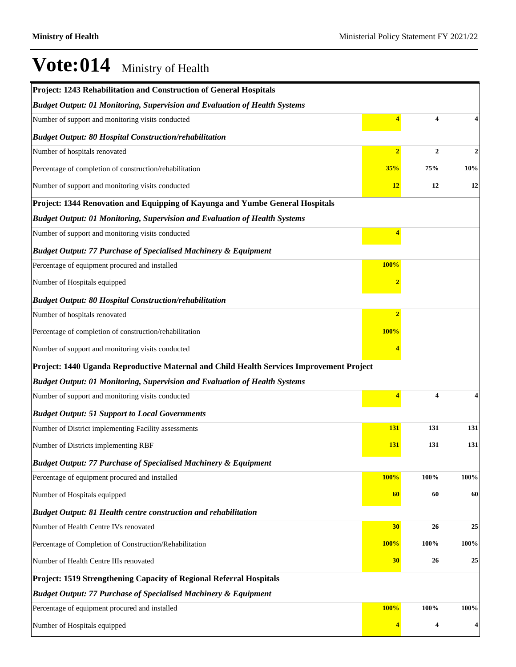| Project: 1243 Rehabilitation and Construction of General Hospitals                       |                |                |              |  |  |  |  |
|------------------------------------------------------------------------------------------|----------------|----------------|--------------|--|--|--|--|
| <b>Budget Output: 01 Monitoring, Supervision and Evaluation of Health Systems</b>        |                |                |              |  |  |  |  |
| Number of support and monitoring visits conducted                                        | 4              | 4              |              |  |  |  |  |
| <b>Budget Output: 80 Hospital Construction/rehabilitation</b>                            |                |                |              |  |  |  |  |
| Number of hospitals renovated                                                            | $\overline{2}$ | $\overline{2}$ | $\mathbf{2}$ |  |  |  |  |
| Percentage of completion of construction/rehabilitation                                  | 35%            | 75%            | 10%          |  |  |  |  |
| Number of support and monitoring visits conducted                                        | <u>12</u>      | 12             | 12           |  |  |  |  |
| Project: 1344 Renovation and Equipping of Kayunga and Yumbe General Hospitals            |                |                |              |  |  |  |  |
| <b>Budget Output: 01 Monitoring, Supervision and Evaluation of Health Systems</b>        |                |                |              |  |  |  |  |
| Number of support and monitoring visits conducted                                        | 4              |                |              |  |  |  |  |
| <b>Budget Output: 77 Purchase of Specialised Machinery &amp; Equipment</b>               |                |                |              |  |  |  |  |
| Percentage of equipment procured and installed                                           | <b>100%</b>    |                |              |  |  |  |  |
| Number of Hospitals equipped                                                             |                |                |              |  |  |  |  |
| <b>Budget Output: 80 Hospital Construction/rehabilitation</b>                            |                |                |              |  |  |  |  |
| Number of hospitals renovated                                                            | $\overline{2}$ |                |              |  |  |  |  |
| Percentage of completion of construction/rehabilitation                                  | <b>100%</b>    |                |              |  |  |  |  |
| Number of support and monitoring visits conducted                                        |                |                |              |  |  |  |  |
| Project: 1440 Uganda Reproductive Maternal and Child Health Services Improvement Project |                |                |              |  |  |  |  |
| <b>Budget Output: 01 Monitoring, Supervision and Evaluation of Health Systems</b>        |                |                |              |  |  |  |  |
| Number of support and monitoring visits conducted                                        | 4              | 4              |              |  |  |  |  |
| <b>Budget Output: 51 Support to Local Governments</b>                                    |                |                |              |  |  |  |  |
| Number of District implementing Facility assessments                                     | <b>131</b>     | 131            | 131          |  |  |  |  |
| Number of Districts implementing RBF                                                     | <b>131</b>     | 131            | 131          |  |  |  |  |
| <b>Budget Output: 77 Purchase of Specialised Machinery &amp; Equipment</b>               |                |                |              |  |  |  |  |
| Percentage of equipment procured and installed                                           | <b>100%</b>    | 100%           | 100%         |  |  |  |  |
| Number of Hospitals equipped                                                             | 60             | 60             | 60           |  |  |  |  |
| <b>Budget Output: 81 Health centre construction and rehabilitation</b>                   |                |                |              |  |  |  |  |
| Number of Health Centre IVs renovated                                                    | 30             | 26             | 25           |  |  |  |  |
| Percentage of Completion of Construction/Rehabilitation                                  | 100%           | 100%           | 100%         |  |  |  |  |
| Number of Health Centre IIIs renovated                                                   | <b>30</b>      | 26             | 25           |  |  |  |  |
| Project: 1519 Strengthening Capacity of Regional Referral Hospitals                      |                |                |              |  |  |  |  |
| <b>Budget Output: 77 Purchase of Specialised Machinery &amp; Equipment</b>               |                |                |              |  |  |  |  |
| Percentage of equipment procured and installed                                           | <b>100%</b>    | 100%           | 100%         |  |  |  |  |
| Number of Hospitals equipped                                                             |                | 4              | 4            |  |  |  |  |
|                                                                                          |                |                |              |  |  |  |  |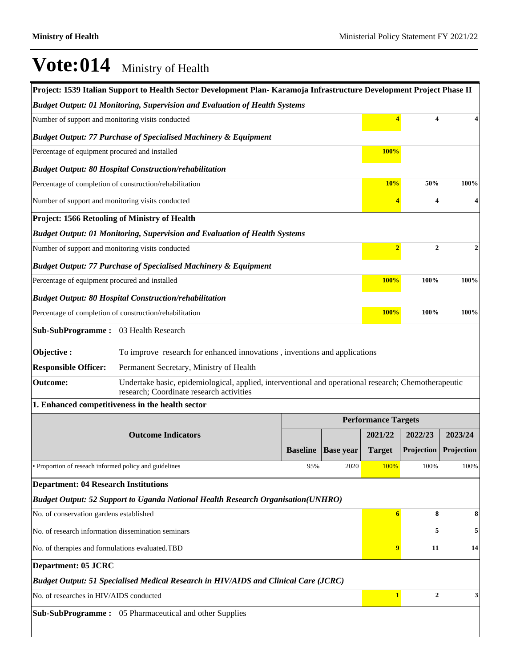$\overline{\phantom{a}}$ 

|                                                               | Project: 1539 Italian Support to Health Sector Development Plan-Karamoja Infrastructure Development Project Phase II                             |                 |                  |                            |                                |            |  |
|---------------------------------------------------------------|--------------------------------------------------------------------------------------------------------------------------------------------------|-----------------|------------------|----------------------------|--------------------------------|------------|--|
|                                                               | <b>Budget Output: 01 Monitoring, Supervision and Evaluation of Health Systems</b>                                                                |                 |                  |                            |                                |            |  |
| Number of support and monitoring visits conducted             |                                                                                                                                                  |                 |                  | $\overline{4}$             | 4                              |            |  |
|                                                               | <b>Budget Output: 77 Purchase of Specialised Machinery &amp; Equipment</b>                                                                       |                 |                  |                            |                                |            |  |
| Percentage of equipment procured and installed                |                                                                                                                                                  |                 |                  | <b>100%</b>                |                                |            |  |
|                                                               | <b>Budget Output: 80 Hospital Construction/rehabilitation</b>                                                                                    |                 |                  |                            |                                |            |  |
|                                                               | Percentage of completion of construction/rehabilitation                                                                                          |                 |                  | 10%                        | 50%                            | 100%       |  |
| Number of support and monitoring visits conducted             |                                                                                                                                                  |                 |                  | 4                          | 4                              | 4          |  |
| Project: 1566 Retooling of Ministry of Health                 |                                                                                                                                                  |                 |                  |                            |                                |            |  |
|                                                               | <b>Budget Output: 01 Monitoring, Supervision and Evaluation of Health Systems</b>                                                                |                 |                  |                            |                                |            |  |
| Number of support and monitoring visits conducted             |                                                                                                                                                  |                 |                  | $\overline{2}$             | $\mathbf{2}$                   | 2          |  |
|                                                               | <b>Budget Output: 77 Purchase of Specialised Machinery &amp; Equipment</b>                                                                       |                 |                  |                            |                                |            |  |
| Percentage of equipment procured and installed                |                                                                                                                                                  |                 |                  | <b>100%</b>                | 100%                           | 100%       |  |
| <b>Budget Output: 80 Hospital Construction/rehabilitation</b> |                                                                                                                                                  |                 |                  |                            |                                |            |  |
| Percentage of completion of construction/rehabilitation       |                                                                                                                                                  |                 |                  | <b>100%</b>                | 100%                           | 100%       |  |
| Sub-SubProgramme: 03 Health Research                          |                                                                                                                                                  |                 |                  |                            |                                |            |  |
| Objective:                                                    | To improve research for enhanced innovations, inventions and applications                                                                        |                 |                  |                            |                                |            |  |
| <b>Responsible Officer:</b>                                   | Permanent Secretary, Ministry of Health                                                                                                          |                 |                  |                            |                                |            |  |
| Outcome:                                                      | Undertake basic, epidemiological, applied, interventional and operational research; Chemotherapeutic<br>research; Coordinate research activities |                 |                  |                            |                                |            |  |
|                                                               | 1. Enhanced competitiveness in the health sector                                                                                                 |                 |                  |                            |                                |            |  |
|                                                               |                                                                                                                                                  |                 |                  | <b>Performance Targets</b> |                                |            |  |
|                                                               | <b>Outcome Indicators</b>                                                                                                                        |                 |                  | 2021/22                    | 2022/23                        | 2023/24    |  |
|                                                               |                                                                                                                                                  | <b>Baseline</b> | <b>Base year</b> | <b>Target</b>              | Projection                     | Projection |  |
| • Proportion of reseach informed policy and guidelines        |                                                                                                                                                  | 95%             | 2020             | 100%                       | 100%                           | 100%       |  |
| <b>Department: 04 Research Institutions</b>                   |                                                                                                                                                  |                 |                  |                            |                                |            |  |
|                                                               | Budget Output: 52 Support to Uganda National Health Research Organisation(UNHRO)                                                                 |                 |                  |                            |                                |            |  |
| No. of conservation gardens established                       |                                                                                                                                                  |                 |                  | 6                          | 8                              | 8          |  |
| No. of research information dissemination seminars            |                                                                                                                                                  |                 |                  |                            | 5                              | 5          |  |
| No. of therapies and formulations evaluated.TBD               |                                                                                                                                                  |                 | 9                | 11                         | 14                             |            |  |
| <b>Department: 05 JCRC</b>                                    |                                                                                                                                                  |                 |                  |                            |                                |            |  |
|                                                               | <b>Budget Output: 51 Specialised Medical Research in HIV/AIDS and Clinical Care (JCRC)</b>                                                       |                 |                  |                            |                                |            |  |
| No. of researches in HIV/AIDS conducted                       |                                                                                                                                                  |                 |                  |                            | $\mathbf{1}$<br>$\overline{2}$ | 3          |  |
|                                                               | Sub-SubProgramme: 05 Pharmaceutical and other Supplies                                                                                           |                 |                  |                            |                                |            |  |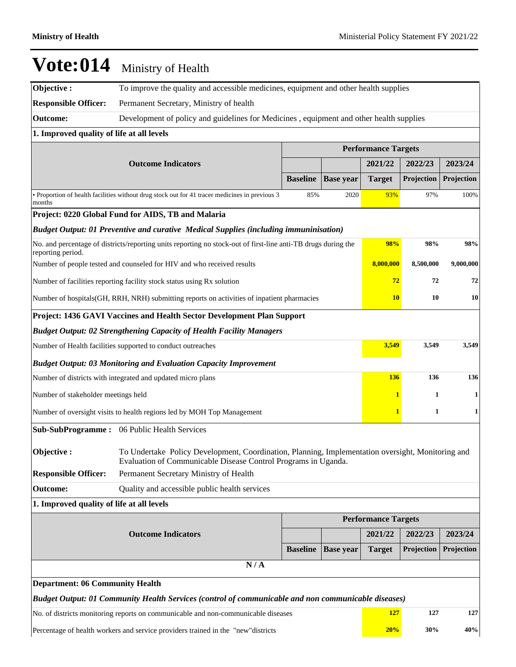**Objective :** To improve the quality and accessible medicines, equipment and other health supplies **Responsible Officer:** Permanent Secretary, Ministry of health

**Outcome:** Development of policy and guidelines for Medicines , equipment and other health supplies

### **1. Improved quality of life at all levels**

|                                                                                                     |                                                                                                                                                                     |                 |                  | <b>Performance Targets</b> |                        |            |  |  |
|-----------------------------------------------------------------------------------------------------|---------------------------------------------------------------------------------------------------------------------------------------------------------------------|-----------------|------------------|----------------------------|------------------------|------------|--|--|
|                                                                                                     | <b>Outcome Indicators</b>                                                                                                                                           |                 |                  | 2021/22                    | 2022/23                | 2023/24    |  |  |
|                                                                                                     |                                                                                                                                                                     | <b>Baseline</b> | <b>Base year</b> | <b>Target</b>              | Projection             | Projection |  |  |
| months                                                                                              | • Proportion of health facilities without drug stock out for 41 tracer medicines in previous 3                                                                      | 85%             | 2020             | 93%                        | 97%                    | 100%       |  |  |
|                                                                                                     | Project: 0220 Global Fund for AIDS, TB and Malaria                                                                                                                  |                 |                  |                            |                        |            |  |  |
| Budget Output: 01 Preventive and curative Medical Supplies (including immuninisation)               |                                                                                                                                                                     |                 |                  |                            |                        |            |  |  |
| reporting period.                                                                                   | No. and percentage of districts/reporting units reporting no stock-out of first-line anti-TB drugs during the                                                       |                 |                  | 98%                        | 98%                    | 98%        |  |  |
| Number of people tested and counseled for HIV and who received results                              |                                                                                                                                                                     |                 |                  |                            | 8,000,000<br>8,500,000 | 9,000,000  |  |  |
|                                                                                                     | Number of facilities reporting facility stock status using Rx solution                                                                                              |                 |                  | 72                         | 72                     | 72         |  |  |
|                                                                                                     | Number of hospitals (GH, RRH, NRH) submitting reports on activities of inpatient pharmacies                                                                         |                 |                  | <b>10</b>                  | 10                     | 10         |  |  |
|                                                                                                     | Project: 1436 GAVI Vaccines and Health Sector Development Plan Support                                                                                              |                 |                  |                            |                        |            |  |  |
|                                                                                                     | <b>Budget Output: 02 Strengthening Capacity of Health Facility Managers</b>                                                                                         |                 |                  |                            |                        |            |  |  |
| Number of Health facilities supported to conduct outreaches                                         |                                                                                                                                                                     | 3,549           | 3,549            | 3,549                      |                        |            |  |  |
|                                                                                                     | <b>Budget Output: 03 Monitoring and Evaluation Capacity Improvement</b>                                                                                             |                 |                  |                            |                        |            |  |  |
|                                                                                                     | Number of districts with integrated and updated micro plans                                                                                                         |                 |                  | 136                        | 136                    | 136        |  |  |
| Number of stakeholder meetings held                                                                 |                                                                                                                                                                     |                 |                  | 1                          | 1                      | 1          |  |  |
|                                                                                                     | Number of oversight visits to health regions led by MOH Top Management                                                                                              |                 |                  | 1                          | 1                      | 1          |  |  |
| <b>Sub-SubProgramme:</b>                                                                            | 06 Public Health Services                                                                                                                                           |                 |                  |                            |                        |            |  |  |
| Objective:                                                                                          | To Undertake Policy Development, Coordination, Planning, Implementation oversight, Monitoring and<br>Evaluation of Communicable Disease Control Programs in Uganda. |                 |                  |                            |                        |            |  |  |
| <b>Responsible Officer:</b>                                                                         | Permanent Secretary Ministry of Health                                                                                                                              |                 |                  |                            |                        |            |  |  |
| <b>Outcome:</b>                                                                                     | Quality and accessible public health services                                                                                                                       |                 |                  |                            |                        |            |  |  |
| 1. Improved quality of life at all levels                                                           |                                                                                                                                                                     |                 |                  |                            |                        |            |  |  |
|                                                                                                     |                                                                                                                                                                     |                 |                  | <b>Performance Targets</b> |                        |            |  |  |
|                                                                                                     | <b>Outcome Indicators</b>                                                                                                                                           |                 |                  | 2021/22                    | 2022/23                | 2023/24    |  |  |
|                                                                                                     |                                                                                                                                                                     | <b>Baseline</b> | <b>Base year</b> | <b>Target</b>              | Projection             | Projection |  |  |
| N/A                                                                                                 |                                                                                                                                                                     |                 |                  |                            |                        |            |  |  |
| <b>Department: 06 Community Health</b>                                                              |                                                                                                                                                                     |                 |                  |                            |                        |            |  |  |
| Budget Output: 01 Community Health Services (control of communicable and non communicable diseases) |                                                                                                                                                                     |                 |                  |                            |                        |            |  |  |
| No. of districts monitoring reports on communicable and non-communicable diseases                   |                                                                                                                                                                     |                 |                  |                            | 127<br>127             | 127        |  |  |
|                                                                                                     | Percentage of health workers and service providers trained in the "new"districts                                                                                    |                 |                  | 20%                        | 30%                    | 40%        |  |  |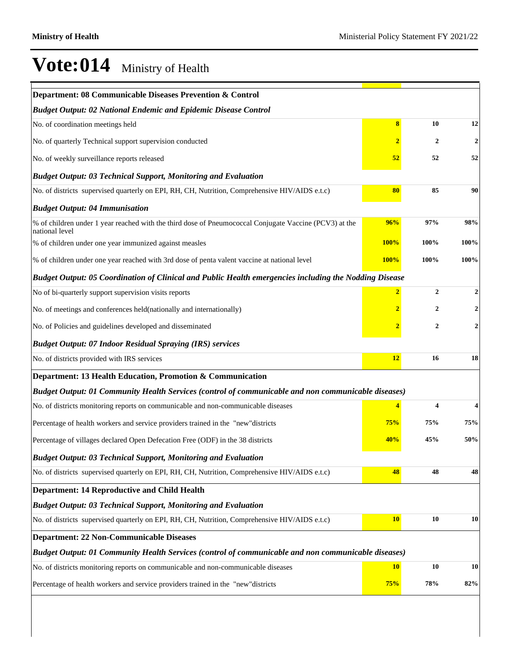| Department: 08 Communicable Diseases Prevention & Control                                                                |                |              |                |
|--------------------------------------------------------------------------------------------------------------------------|----------------|--------------|----------------|
| <b>Budget Output: 02 National Endemic and Epidemic Disease Control</b>                                                   |                |              |                |
| No. of coordination meetings held                                                                                        | 8              | 10           | 12             |
| No. of quarterly Technical support supervision conducted                                                                 | 2              | 2            | $\mathbf{2}$   |
| No. of weekly surveillance reports released                                                                              | 52             | 52           | 52             |
| <b>Budget Output: 03 Technical Support, Monitoring and Evaluation</b>                                                    |                |              |                |
| No. of districts supervised quarterly on EPI, RH, CH, Nutrition, Comprehensive HIV/AIDS e.t.c)                           | 80             | 85           | 90             |
| <b>Budget Output: 04 Immunisation</b>                                                                                    |                |              |                |
| % of children under 1 year reached with the third dose of Pneumococcal Conjugate Vaccine (PCV3) at the<br>national level | 96%            | 97%          | $98\%$         |
| % of children under one year immunized against measles                                                                   | <b>100%</b>    | 100%         | 100%           |
| % of children under one year reached with 3rd dose of penta valent vaccine at national level                             | <b>100%</b>    | 100%         | 100%           |
| Budget Output: 05 Coordination of Clinical and Public Health emergencies including the Nodding Disease                   |                |              |                |
| No of bi-quarterly support supervision visits reports                                                                    | $\overline{2}$ | $\mathbf{2}$ | 2              |
| No. of meetings and conferences held(nationally and internationally)                                                     |                | 2            | $\overline{2}$ |
| No. of Policies and guidelines developed and disseminated                                                                |                | 2            | 2              |
| <b>Budget Output: 07 Indoor Residual Spraying (IRS) services</b>                                                         |                |              |                |
| No. of districts provided with IRS services                                                                              | <b>12</b>      | 16           | 18             |
| Department: 13 Health Education, Promotion & Communication                                                               |                |              |                |
| Budget Output: 01 Community Health Services (control of communicable and non communicable diseases)                      |                |              |                |
| No. of districts monitoring reports on communicable and non-communicable diseases                                        |                | 4            |                |
| Percentage of health workers and service providers trained in the "new"districts                                         | 75%            | 75%          | 75%            |
| Percentage of villages declared Open Defecation Free (ODF) in the 38 districts                                           | 40%            | 45%          | 50%            |
| <b>Budget Output: 03 Technical Support, Monitoring and Evaluation</b>                                                    |                |              |                |
| No. of districts supervised quarterly on EPI, RH, CH, Nutrition, Comprehensive HIV/AIDS e.t.c)                           | 48             | 48           | 48             |
| <b>Department: 14 Reproductive and Child Health</b>                                                                      |                |              |                |
| <b>Budget Output: 03 Technical Support, Monitoring and Evaluation</b>                                                    |                |              |                |
| No. of districts supervised quarterly on EPI, RH, CH, Nutrition, Comprehensive HIV/AIDS e.t.c)                           | 10             | 10           | 10             |
| <b>Department: 22 Non-Communicable Diseases</b>                                                                          |                |              |                |
| Budget Output: 01 Community Health Services (control of communicable and non communicable diseases)                      |                |              |                |
| No. of districts monitoring reports on communicable and non-communicable diseases                                        | <b>10</b>      | 10           | 10             |
| Percentage of health workers and service providers trained in the "new"districts                                         | 75%            | 78%          | 82%            |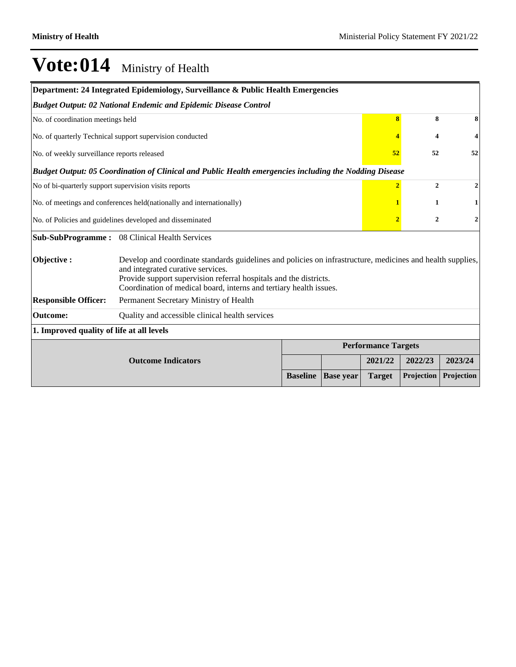| Department: 24 Integrated Epidemiology, Surveillance & Public Health Emergencies |                                                                                                                                                                                                                                                                                            |                 |                  |                            |                         |              |  |  |  |
|----------------------------------------------------------------------------------|--------------------------------------------------------------------------------------------------------------------------------------------------------------------------------------------------------------------------------------------------------------------------------------------|-----------------|------------------|----------------------------|-------------------------|--------------|--|--|--|
| <b>Budget Output: 02 National Endemic and Epidemic Disease Control</b>           |                                                                                                                                                                                                                                                                                            |                 |                  |                            |                         |              |  |  |  |
|                                                                                  | No. of coordination meetings held                                                                                                                                                                                                                                                          |                 |                  |                            |                         |              |  |  |  |
|                                                                                  | No. of quarterly Technical support supervision conducted                                                                                                                                                                                                                                   |                 |                  |                            | $\overline{\mathbf{4}}$ | 4            |  |  |  |
| No. of weekly surveillance reports released                                      |                                                                                                                                                                                                                                                                                            |                 |                  | 52                         | 52                      | 52           |  |  |  |
|                                                                                  | Budget Output: 05 Coordination of Clinical and Public Health emergencies including the Nodding Disease                                                                                                                                                                                     |                 |                  |                            |                         |              |  |  |  |
| No of bi-quarterly support supervision visits reports                            |                                                                                                                                                                                                                                                                                            |                 |                  | $\overline{2}$             | $\overline{2}$          | $\mathbf{2}$ |  |  |  |
| No. of meetings and conferences held(nationally and internationally)             |                                                                                                                                                                                                                                                                                            | 1               | 1                |                            |                         |              |  |  |  |
| No. of Policies and guidelines developed and disseminated                        | $\overline{2}$                                                                                                                                                                                                                                                                             | $\overline{2}$  | $\mathbf{2}$     |                            |                         |              |  |  |  |
|                                                                                  | Sub-SubProgramme: 08 Clinical Health Services                                                                                                                                                                                                                                              |                 |                  |                            |                         |              |  |  |  |
| Objective:                                                                       | Develop and coordinate standards guidelines and policies on infrastructure, medicines and health supplies,<br>and integrated curative services.<br>Provide support supervision referral hospitals and the districts.<br>Coordination of medical board, interns and tertiary health issues. |                 |                  |                            |                         |              |  |  |  |
| <b>Responsible Officer:</b>                                                      | Permanent Secretary Ministry of Health                                                                                                                                                                                                                                                     |                 |                  |                            |                         |              |  |  |  |
| <b>Outcome:</b>                                                                  | Quality and accessible clinical health services                                                                                                                                                                                                                                            |                 |                  |                            |                         |              |  |  |  |
| 1. Improved quality of life at all levels                                        |                                                                                                                                                                                                                                                                                            |                 |                  |                            |                         |              |  |  |  |
|                                                                                  |                                                                                                                                                                                                                                                                                            |                 |                  | <b>Performance Targets</b> |                         |              |  |  |  |
| <b>Outcome Indicators</b>                                                        |                                                                                                                                                                                                                                                                                            |                 |                  | 2021/22                    | 2022/23                 | 2023/24      |  |  |  |
|                                                                                  |                                                                                                                                                                                                                                                                                            | <b>Baseline</b> | <b>Base year</b> | <b>Target</b>              | Projection              | Projection   |  |  |  |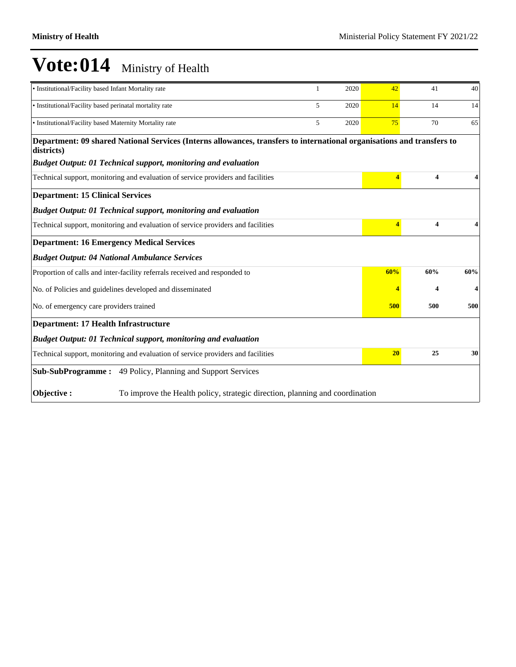| • Institutional/Facility based Infant Mortality rate                                                                                 | 1 | 2020 | 42             | 41                      | 40  |  |  |  |
|--------------------------------------------------------------------------------------------------------------------------------------|---|------|----------------|-------------------------|-----|--|--|--|
| • Institutional/Facility based perinatal mortality rate                                                                              | 5 | 2020 | 14             | 14                      | 14  |  |  |  |
| • Institutional/Facility based Maternity Mortality rate                                                                              | 5 | 2020 | 75             | 70                      | 65  |  |  |  |
| Department: 09 shared National Services (Interns allowances, transfers to international organisations and transfers to<br>districts) |   |      |                |                         |     |  |  |  |
| <b>Budget Output: 01 Technical support, monitoring and evaluation</b>                                                                |   |      |                |                         |     |  |  |  |
| Technical support, monitoring and evaluation of service providers and facilities                                                     |   |      | $\overline{4}$ | $\overline{\mathbf{4}}$ |     |  |  |  |
| <b>Department: 15 Clinical Services</b>                                                                                              |   |      |                |                         |     |  |  |  |
| <b>Budget Output: 01 Technical support, monitoring and evaluation</b>                                                                |   |      |                |                         |     |  |  |  |
| Technical support, monitoring and evaluation of service providers and facilities                                                     |   |      | 4              | $\overline{\mathbf{4}}$ |     |  |  |  |
| <b>Department: 16 Emergency Medical Services</b>                                                                                     |   |      |                |                         |     |  |  |  |
| <b>Budget Output: 04 National Ambulance Services</b>                                                                                 |   |      |                |                         |     |  |  |  |
| Proportion of calls and inter-facility referrals received and responded to                                                           |   |      | 60%            | 60%                     | 60% |  |  |  |
| No. of Policies and guidelines developed and disseminated                                                                            |   |      |                | 4                       |     |  |  |  |
| No. of emergency care providers trained                                                                                              |   |      | 500            | 500                     | 500 |  |  |  |
| <b>Department: 17 Health Infrastructure</b>                                                                                          |   |      |                |                         |     |  |  |  |
| <b>Budget Output: 01 Technical support, monitoring and evaluation</b>                                                                |   |      |                |                         |     |  |  |  |
| Technical support, monitoring and evaluation of service providers and facilities                                                     |   |      | 20             | 25                      | 30  |  |  |  |
| Sub-SubProgramme: 49 Policy, Planning and Support Services                                                                           |   |      |                |                         |     |  |  |  |
| Objective:<br>To improve the Health policy, strategic direction, planning and coordination                                           |   |      |                |                         |     |  |  |  |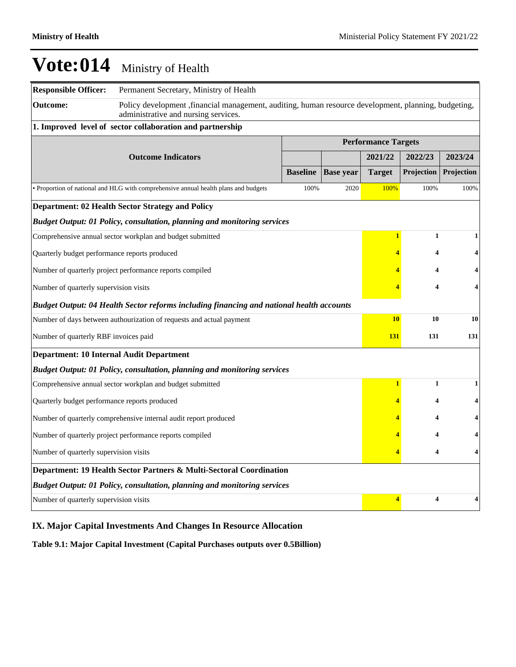| <b>Responsible Officer:</b>                                                              | Permanent Secretary, Ministry of Health                                                                                                      |                 |                  |                            |              |            |  |
|------------------------------------------------------------------------------------------|----------------------------------------------------------------------------------------------------------------------------------------------|-----------------|------------------|----------------------------|--------------|------------|--|
| <b>Outcome:</b>                                                                          | Policy development, financial management, auditing, human resource development, planning, budgeting,<br>administrative and nursing services. |                 |                  |                            |              |            |  |
|                                                                                          | 1. Improved level of sector collaboration and partnership                                                                                    |                 |                  |                            |              |            |  |
|                                                                                          |                                                                                                                                              |                 |                  | <b>Performance Targets</b> |              |            |  |
|                                                                                          | <b>Outcome Indicators</b>                                                                                                                    |                 |                  | 2021/22                    | 2022/23      | 2023/24    |  |
|                                                                                          |                                                                                                                                              | <b>Baseline</b> | <b>Base year</b> | <b>Target</b>              | Projection   | Projection |  |
|                                                                                          | • Proportion of national and HLG with comprehensive annual health plans and budgets                                                          | 100%            | 2020             | 100%                       | 100%         | 100%       |  |
|                                                                                          | Department: 02 Health Sector Strategy and Policy                                                                                             |                 |                  |                            |              |            |  |
|                                                                                          | <b>Budget Output: 01 Policy, consultation, planning and monitoring services</b>                                                              |                 |                  |                            |              |            |  |
|                                                                                          | Comprehensive annual sector workplan and budget submitted                                                                                    |                 |                  | $\mathbf{1}$               | $\mathbf{1}$ | 1          |  |
| Quarterly budget performance reports produced                                            |                                                                                                                                              |                 |                  | 4                          | 4            | 4          |  |
| Number of quarterly project performance reports compiled                                 |                                                                                                                                              | 4               | 4                |                            |              |            |  |
| Number of quarterly supervision visits                                                   |                                                                                                                                              | 4               | 4                |                            |              |            |  |
| Budget Output: 04 Health Sector reforms including financing and national health accounts |                                                                                                                                              |                 |                  |                            |              |            |  |
|                                                                                          | Number of days between authourization of requests and actual payment                                                                         |                 |                  | <b>10</b>                  | 10           | 10         |  |
| Number of quarterly RBF invoices paid                                                    | 131                                                                                                                                          | 131             | 131              |                            |              |            |  |
| <b>Department: 10 Internal Audit Department</b>                                          |                                                                                                                                              |                 |                  |                            |              |            |  |
|                                                                                          | Budget Output: 01 Policy, consultation, planning and monitoring services                                                                     |                 |                  |                            |              |            |  |
|                                                                                          | Comprehensive annual sector workplan and budget submitted                                                                                    |                 |                  | $\mathbf{1}$               | $\mathbf{1}$ | 1          |  |
| Quarterly budget performance reports produced                                            |                                                                                                                                              |                 |                  | 4                          | 4            | 4          |  |
|                                                                                          | Number of quarterly comprehensive internal audit report produced                                                                             |                 |                  | 4                          | 4            | 4          |  |
| Number of quarterly project performance reports compiled                                 |                                                                                                                                              | 4               | 4                |                            |              |            |  |
| Number of quarterly supervision visits                                                   |                                                                                                                                              | 4               | 4                | 4                          |              |            |  |
|                                                                                          | Department: 19 Health Sector Partners & Multi-Sectoral Coordination                                                                          |                 |                  |                            |              |            |  |
|                                                                                          | <b>Budget Output: 01 Policy, consultation, planning and monitoring services</b>                                                              |                 |                  |                            |              |            |  |
| Number of quarterly supervision visits                                                   |                                                                                                                                              |                 |                  | 4                          | 4            | 4          |  |

### **IX. Major Capital Investments And Changes In Resource Allocation**

**Table 9.1: Major Capital Investment (Capital Purchases outputs over 0.5Billion)**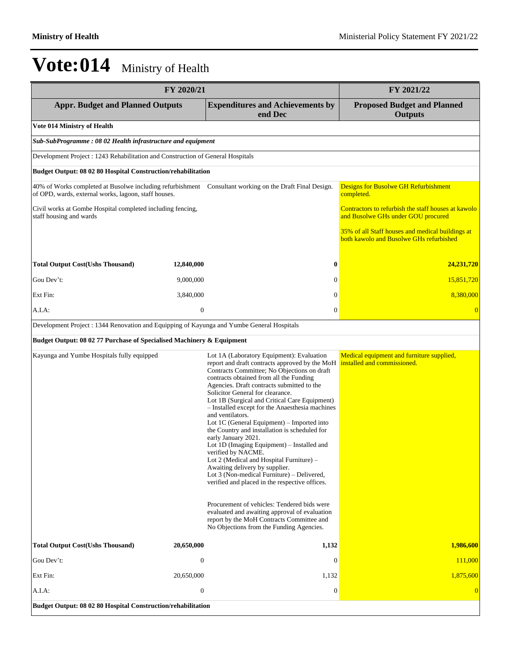| FY 2020/21                                                                                 |                                |                                                                                                                                                                                                                                                                                                                                                                                                                                                                                                                                                                                                                                                                                                                                                                                                                                                                                                                      | FY 2021/22                                                                                  |
|--------------------------------------------------------------------------------------------|--------------------------------|----------------------------------------------------------------------------------------------------------------------------------------------------------------------------------------------------------------------------------------------------------------------------------------------------------------------------------------------------------------------------------------------------------------------------------------------------------------------------------------------------------------------------------------------------------------------------------------------------------------------------------------------------------------------------------------------------------------------------------------------------------------------------------------------------------------------------------------------------------------------------------------------------------------------|---------------------------------------------------------------------------------------------|
| <b>Appr. Budget and Planned Outputs</b>                                                    |                                | <b>Expenditures and Achievements by</b><br>end Dec                                                                                                                                                                                                                                                                                                                                                                                                                                                                                                                                                                                                                                                                                                                                                                                                                                                                   | <b>Proposed Budget and Planned</b><br><b>Outputs</b>                                        |
| <b>Vote 014 Ministry of Health</b>                                                         |                                |                                                                                                                                                                                                                                                                                                                                                                                                                                                                                                                                                                                                                                                                                                                                                                                                                                                                                                                      |                                                                                             |
| Sub-SubProgramme: 08 02 Health infrastructure and equipment                                |                                |                                                                                                                                                                                                                                                                                                                                                                                                                                                                                                                                                                                                                                                                                                                                                                                                                                                                                                                      |                                                                                             |
| Development Project : 1243 Rehabilitation and Construction of General Hospitals            |                                |                                                                                                                                                                                                                                                                                                                                                                                                                                                                                                                                                                                                                                                                                                                                                                                                                                                                                                                      |                                                                                             |
| Budget Output: 08 02 80 Hospital Construction/rehabilitation                               |                                |                                                                                                                                                                                                                                                                                                                                                                                                                                                                                                                                                                                                                                                                                                                                                                                                                                                                                                                      |                                                                                             |
| of OPD, wards, external works, lagoon, staff houses.                                       |                                | 40% of Works completed at Busolwe including refurbishment Consultant working on the Draft Final Design.                                                                                                                                                                                                                                                                                                                                                                                                                                                                                                                                                                                                                                                                                                                                                                                                              | <b>Designs for Busolwe GH Refurbishment</b><br>completed.                                   |
| Civil works at Gombe Hospital completed including fencing,<br>staff housing and wards      |                                |                                                                                                                                                                                                                                                                                                                                                                                                                                                                                                                                                                                                                                                                                                                                                                                                                                                                                                                      | Contractors to refurbish the staff houses at kawolo<br>and Busolwe GHs under GOU procured   |
|                                                                                            |                                |                                                                                                                                                                                                                                                                                                                                                                                                                                                                                                                                                                                                                                                                                                                                                                                                                                                                                                                      | 35% of all Staff houses and medical buildings at<br>both kawolo and Busolwe GHs refurbished |
| <b>Total Output Cost(Ushs Thousand)</b>                                                    | 12,840,000                     | $\boldsymbol{0}$                                                                                                                                                                                                                                                                                                                                                                                                                                                                                                                                                                                                                                                                                                                                                                                                                                                                                                     | 24,231,720                                                                                  |
| Gou Dev't:                                                                                 | 9,000,000                      | $\mathbf{0}$                                                                                                                                                                                                                                                                                                                                                                                                                                                                                                                                                                                                                                                                                                                                                                                                                                                                                                         | 15,851,720                                                                                  |
| Ext Fin:                                                                                   | 3,840,000                      | $\mathbf{0}$                                                                                                                                                                                                                                                                                                                                                                                                                                                                                                                                                                                                                                                                                                                                                                                                                                                                                                         | 8,380,000                                                                                   |
| A.I.A:                                                                                     | $\boldsymbol{0}$               | $\overline{0}$                                                                                                                                                                                                                                                                                                                                                                                                                                                                                                                                                                                                                                                                                                                                                                                                                                                                                                       | $\overline{0}$                                                                              |
| Development Project : 1344 Renovation and Equipping of Kayunga and Yumbe General Hospitals |                                |                                                                                                                                                                                                                                                                                                                                                                                                                                                                                                                                                                                                                                                                                                                                                                                                                                                                                                                      |                                                                                             |
| Budget Output: 08 02 77 Purchase of Specialised Machinery & Equipment                      |                                |                                                                                                                                                                                                                                                                                                                                                                                                                                                                                                                                                                                                                                                                                                                                                                                                                                                                                                                      |                                                                                             |
| Kayunga and Yumbe Hospitals fully equipped                                                 |                                | Lot 1A (Laboratory Equipment): Evaluation<br>report and draft contracts approved by the MoH<br>Contracts Committee; No Objections on draft<br>contracts obtained from all the Funding<br>Agencies. Draft contracts submitted to the<br>Solicitor General for clearance.<br>Lot 1B (Surgical and Critical Care Equipment)<br>- Installed except for the Anaesthesia machines<br>and ventilators.<br>Lot 1C (General Equipment) – Imported into<br>the Country and installation is scheduled for<br>early January 2021.<br>Lot 1D (Imaging Equipment) – Installed and<br>verified by NACME.<br>Lot 2 (Medical and Hospital Furniture) -<br>Awaiting delivery by supplier.<br>Lot 3 (Non-medical Furniture) – Delivered,<br>verified and placed in the respective offices.<br>Procurement of vehicles: Tendered bids were<br>evaluated and awaiting approval of evaluation<br>report by the MoH Contracts Committee and | Medical equipment and furniture supplied,<br>installed and commissioned.                    |
|                                                                                            |                                | No Objections from the Funding Agencies.                                                                                                                                                                                                                                                                                                                                                                                                                                                                                                                                                                                                                                                                                                                                                                                                                                                                             |                                                                                             |
| <b>Total Output Cost(Ushs Thousand)</b><br>Gou Dev't:                                      | 20,650,000<br>$\boldsymbol{0}$ | 1,132<br>$\overline{0}$                                                                                                                                                                                                                                                                                                                                                                                                                                                                                                                                                                                                                                                                                                                                                                                                                                                                                              | 1,986,600<br>111,000                                                                        |
| Ext Fin:                                                                                   | 20,650,000                     | 1,132                                                                                                                                                                                                                                                                                                                                                                                                                                                                                                                                                                                                                                                                                                                                                                                                                                                                                                                | 1,875,600                                                                                   |
| A.I.A.                                                                                     | $\boldsymbol{0}$               | $\boldsymbol{0}$                                                                                                                                                                                                                                                                                                                                                                                                                                                                                                                                                                                                                                                                                                                                                                                                                                                                                                     |                                                                                             |
| Budget Output: 08 02 80 Hospital Construction/rehabilitation                               |                                |                                                                                                                                                                                                                                                                                                                                                                                                                                                                                                                                                                                                                                                                                                                                                                                                                                                                                                                      |                                                                                             |
|                                                                                            |                                |                                                                                                                                                                                                                                                                                                                                                                                                                                                                                                                                                                                                                                                                                                                                                                                                                                                                                                                      |                                                                                             |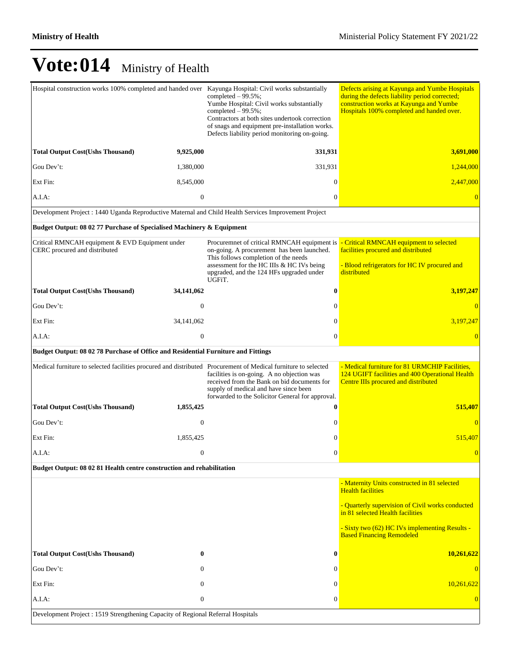| Hospital construction works 100% completed and handed over Kayunga Hospital: Civil works substantially         |                  | completed $-99.5\%$ ;<br>Yumbe Hospital: Civil works substantially<br>completed $-99.5\%$ ;<br>Contractors at both sites undertook correction<br>of snags and equipment pre-installation works.<br>Defects liability period monitoring on-going.                             | Defects arising at Kayunga and Yumbe Hospitals<br>during the defects liability period corrected;<br>construction works at Kayunga and Yumbe<br>Hospitals 100% completed and handed over. |  |
|----------------------------------------------------------------------------------------------------------------|------------------|------------------------------------------------------------------------------------------------------------------------------------------------------------------------------------------------------------------------------------------------------------------------------|------------------------------------------------------------------------------------------------------------------------------------------------------------------------------------------|--|
| <b>Total Output Cost(Ushs Thousand)</b>                                                                        | 9,925,000        | 331,931                                                                                                                                                                                                                                                                      | 3,691,000                                                                                                                                                                                |  |
| Gou Dev't:                                                                                                     | 1,380,000        | 331,931                                                                                                                                                                                                                                                                      | 1,244,000                                                                                                                                                                                |  |
| Ext Fin:                                                                                                       | 8,545,000        | $\Omega$                                                                                                                                                                                                                                                                     | 2,447,000                                                                                                                                                                                |  |
| A.I.A:                                                                                                         | $\mathbf{0}$     | $\mathbf{0}$                                                                                                                                                                                                                                                                 |                                                                                                                                                                                          |  |
| Development Project : 1440 Uganda Reproductive Maternal and Child Health Services Improvement Project          |                  |                                                                                                                                                                                                                                                                              |                                                                                                                                                                                          |  |
| Budget Output: 08 02 77 Purchase of Specialised Machinery & Equipment                                          |                  |                                                                                                                                                                                                                                                                              |                                                                                                                                                                                          |  |
| Critical RMNCAH equipment & EVD Equipment under<br>CERC procured and distributed                               |                  | Procuremnet of critical RMNCAH equipment is - Critical RMNCAH equipment to selected<br>on-going. A procurement has been launched.<br>This follows completion of the needs<br>assessment for the HC IIIs & HC IVs being<br>upgraded, and the 124 HFs upgraded under<br>UGFiT. | facilities procured and distributed<br>- Blood refrigerators for HC IV procured and<br>distributed                                                                                       |  |
| <b>Total Output Cost(Ushs Thousand)</b>                                                                        | 34,141,062       | $\bf{0}$                                                                                                                                                                                                                                                                     | 3,197,247                                                                                                                                                                                |  |
| Gou Dev't:                                                                                                     | $\theta$         | $\mathbf{0}$                                                                                                                                                                                                                                                                 |                                                                                                                                                                                          |  |
| Ext Fin:                                                                                                       | 34, 141, 062     | $\mathbf{0}$                                                                                                                                                                                                                                                                 | 3,197,247                                                                                                                                                                                |  |
| A.I.A:                                                                                                         | $\boldsymbol{0}$ | $\mathbf{0}$                                                                                                                                                                                                                                                                 |                                                                                                                                                                                          |  |
| Budget Output: 08 02 78 Purchase of Office and Residential Furniture and Fittings                              |                  |                                                                                                                                                                                                                                                                              |                                                                                                                                                                                          |  |
| Medical furniture to selected facilities procured and distributed Procurement of Medical furniture to selected |                  | facilities is on-going. A no objection was<br>received from the Bank on bid documents for<br>supply of medical and have since been<br>forwarded to the Solicitor General for approval.                                                                                       | - Medical furniture for 81 URMCHIP Facilities,<br>124 UGIFT facilities and 400 Operational Health<br>Centre IIIs procured and distributed                                                |  |
| <b>Total Output Cost(Ushs Thousand)</b>                                                                        | 1,855,425        | 0                                                                                                                                                                                                                                                                            | 515,407                                                                                                                                                                                  |  |
| Gou Dev't:                                                                                                     | $\mathbf{0}$     | $\mathbf{0}$                                                                                                                                                                                                                                                                 |                                                                                                                                                                                          |  |
| Ext Fin:                                                                                                       | 1,855,425        | $\mathbf{0}$                                                                                                                                                                                                                                                                 | 515,407                                                                                                                                                                                  |  |
| A.I.A.                                                                                                         | $\boldsymbol{0}$ | $\mathbf{0}$                                                                                                                                                                                                                                                                 | $\overline{0}$                                                                                                                                                                           |  |
| Budget Output: 08 02 81 Health centre construction and rehabilitation                                          |                  |                                                                                                                                                                                                                                                                              |                                                                                                                                                                                          |  |
|                                                                                                                |                  |                                                                                                                                                                                                                                                                              | - Maternity Units constructed in 81 selected<br><b>Health facilities</b>                                                                                                                 |  |
|                                                                                                                |                  |                                                                                                                                                                                                                                                                              | - Quarterly supervision of Civil works conducted<br>in 81 selected Health facilities                                                                                                     |  |
|                                                                                                                |                  |                                                                                                                                                                                                                                                                              | - Sixty two (62) HC IVs implementing Results -<br><b>Based Financing Remodeled</b>                                                                                                       |  |
| <b>Total Output Cost(Ushs Thousand)</b>                                                                        | 0                | $\bf{0}$                                                                                                                                                                                                                                                                     | 10,261,622                                                                                                                                                                               |  |
| Gou Dev't:                                                                                                     | $\mathbf{0}$     | $\mathbf{0}$                                                                                                                                                                                                                                                                 | $\Omega$                                                                                                                                                                                 |  |
| Ext Fin:                                                                                                       | $\mathbf{0}$     | $\mathbf{0}$                                                                                                                                                                                                                                                                 | 10,261,622                                                                                                                                                                               |  |
| A.I.A:                                                                                                         | $\boldsymbol{0}$ | $\boldsymbol{0}$                                                                                                                                                                                                                                                             | $\Omega$                                                                                                                                                                                 |  |
| Development Project: 1519 Strengthening Capacity of Regional Referral Hospitals                                |                  |                                                                                                                                                                                                                                                                              |                                                                                                                                                                                          |  |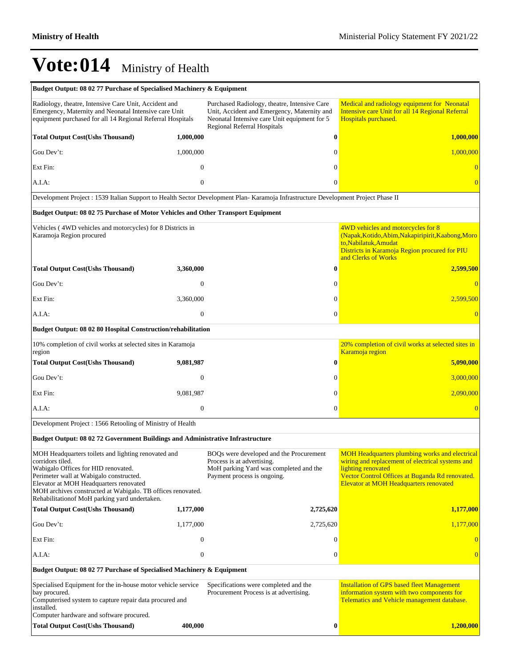| Budget Output: 08 02 77 Purchase of Specialised Machinery & Equipment                                                                                                                                                                                                                                                |                  |                                                                                                                                                                            |              |                                                                                                                                                                                                                              |
|----------------------------------------------------------------------------------------------------------------------------------------------------------------------------------------------------------------------------------------------------------------------------------------------------------------------|------------------|----------------------------------------------------------------------------------------------------------------------------------------------------------------------------|--------------|------------------------------------------------------------------------------------------------------------------------------------------------------------------------------------------------------------------------------|
| Radiology, theatre, Intensive Care Unit, Accident and<br>Emergency, Maternity and Neonatal Intensive care Unit<br>equipment purchased for all 14 Regional Referral Hospitals                                                                                                                                         |                  | Purchased Radiology, theatre, Intensive Care<br>Unit, Accident and Emergency, Maternity and<br>Neonatal Intensive care Unit equipment for 5<br>Regional Referral Hospitals |              | Medical and radiology equipment for Neonatal<br>Intensive care Unit for all 14 Regional Referral<br>Hospitals purchased.                                                                                                     |
| <b>Total Output Cost(Ushs Thousand)</b>                                                                                                                                                                                                                                                                              | 1,000,000        |                                                                                                                                                                            | $\bf{0}$     | 1,000,000                                                                                                                                                                                                                    |
| Gou Dev't:                                                                                                                                                                                                                                                                                                           | 1,000,000        |                                                                                                                                                                            | $\Omega$     | 1,000,000                                                                                                                                                                                                                    |
| Ext Fin:                                                                                                                                                                                                                                                                                                             | $\Omega$         |                                                                                                                                                                            | $\Omega$     |                                                                                                                                                                                                                              |
| A.I.A:                                                                                                                                                                                                                                                                                                               | $\mathbf{0}$     |                                                                                                                                                                            | $\Omega$     | $\overline{0}$                                                                                                                                                                                                               |
| Development Project : 1539 Italian Support to Health Sector Development Plan- Karamoja Infrastructure Development Project Phase II                                                                                                                                                                                   |                  |                                                                                                                                                                            |              |                                                                                                                                                                                                                              |
| Budget Output: 08 02 75 Purchase of Motor Vehicles and Other Transport Equipment                                                                                                                                                                                                                                     |                  |                                                                                                                                                                            |              |                                                                                                                                                                                                                              |
| Vehicles (4WD vehicles and motorcycles) for 8 Districts in<br>Karamoja Region procured                                                                                                                                                                                                                               |                  |                                                                                                                                                                            |              | 4WD vehicles and motorcycles for 8<br>(Napak, Kotido, Abim, Nakapiripirit, Kaabong, Moro<br>to, Nabilatuk, Amudat<br>Districts in Karamoja Region procured for PIU<br>and Clerks of Works                                    |
| <b>Total Output Cost(Ushs Thousand)</b>                                                                                                                                                                                                                                                                              | 3,360,000        |                                                                                                                                                                            | $\bf{0}$     | 2,599,500                                                                                                                                                                                                                    |
| Gou Dev't:                                                                                                                                                                                                                                                                                                           | $\mathbf{0}$     |                                                                                                                                                                            | $\Omega$     | $\Omega$                                                                                                                                                                                                                     |
| Ext Fin:                                                                                                                                                                                                                                                                                                             | 3,360,000        |                                                                                                                                                                            | $\Omega$     | 2.599.500                                                                                                                                                                                                                    |
| A.I.A.                                                                                                                                                                                                                                                                                                               | $\mathbf{0}$     |                                                                                                                                                                            | $\mathbf{0}$ |                                                                                                                                                                                                                              |
| Budget Output: 08 02 80 Hospital Construction/rehabilitation                                                                                                                                                                                                                                                         |                  |                                                                                                                                                                            |              |                                                                                                                                                                                                                              |
| 10% completion of civil works at selected sites in Karamoja<br>region                                                                                                                                                                                                                                                |                  |                                                                                                                                                                            |              | 20% completion of civil works at selected sites in<br>Karamoja region                                                                                                                                                        |
| <b>Total Output Cost(Ushs Thousand)</b>                                                                                                                                                                                                                                                                              | 9,081,987        |                                                                                                                                                                            | $\bf{0}$     | 5,090,000                                                                                                                                                                                                                    |
| Gou Dev't:                                                                                                                                                                                                                                                                                                           | $\mathbf{0}$     |                                                                                                                                                                            | $\Omega$     | 3,000,000                                                                                                                                                                                                                    |
| Ext Fin:                                                                                                                                                                                                                                                                                                             | 9,081,987        |                                                                                                                                                                            | $\theta$     | 2,090,000                                                                                                                                                                                                                    |
| A.I.A:                                                                                                                                                                                                                                                                                                               | $\mathbf{0}$     |                                                                                                                                                                            | $\mathbf{0}$ | $\Omega$                                                                                                                                                                                                                     |
| Development Project: 1566 Retooling of Ministry of Health                                                                                                                                                                                                                                                            |                  |                                                                                                                                                                            |              |                                                                                                                                                                                                                              |
| <b>Budget Output: 08 02 72 Government Buildings and Administrative Infrastructure</b>                                                                                                                                                                                                                                |                  |                                                                                                                                                                            |              |                                                                                                                                                                                                                              |
| MOH Headquarters toilets and lighting renovated and<br>corridors tiled.<br>Wabigalo Offices for HID renovated.<br>Perimeter wall at Wabigalo constructed.<br>Elevator at MOH Headquarters renovated<br>MOH archives constructed at Wabigalo. TB offices renovated.<br>Rehabilitation of MoH parking yard undertaken. |                  | BOOs were developed and the Procurement<br>Process is at advertising.<br>MoH parking Yard was completed and the<br>Payment process is ongoing.                             |              | <b>MOH</b> Headquarters plumbing works and electrical<br>wiring and replacement of electrical systems and<br>lighting renovated<br>Vector Control Offices at Buganda Rd renovated.<br>Elevator at MOH Headquarters renovated |
| <b>Total Output Cost(Ushs Thousand)</b>                                                                                                                                                                                                                                                                              | 1,177,000        | 2,725,620                                                                                                                                                                  |              | 1,177,000                                                                                                                                                                                                                    |
| Gou Dev't:                                                                                                                                                                                                                                                                                                           | 1,177,000        | 2,725,620                                                                                                                                                                  |              | 1,177,000                                                                                                                                                                                                                    |
| Ext Fin:                                                                                                                                                                                                                                                                                                             | $\boldsymbol{0}$ |                                                                                                                                                                            | $\theta$     |                                                                                                                                                                                                                              |
| A.I.A:                                                                                                                                                                                                                                                                                                               | $\boldsymbol{0}$ |                                                                                                                                                                            | $\mathbf{0}$ | $\overline{0}$                                                                                                                                                                                                               |
| Budget Output: 08 02 77 Purchase of Specialised Machinery & Equipment                                                                                                                                                                                                                                                |                  |                                                                                                                                                                            |              |                                                                                                                                                                                                                              |
| Specialised Equipment for the in-house motor vehicle service<br>bay procured.<br>Computerised system to capture repair data procured and<br>installed.<br>Computer hardware and software procured.                                                                                                                   |                  | Specifications were completed and the<br>Procurement Process is at advertising.                                                                                            |              | <b>Installation of GPS based fleet Management</b><br>information system with two components for<br>Telematics and Vehicle management database.                                                                               |
| <b>Total Output Cost(Ushs Thousand)</b>                                                                                                                                                                                                                                                                              | 400,000          |                                                                                                                                                                            | $\bf{0}$     | 1,200,000                                                                                                                                                                                                                    |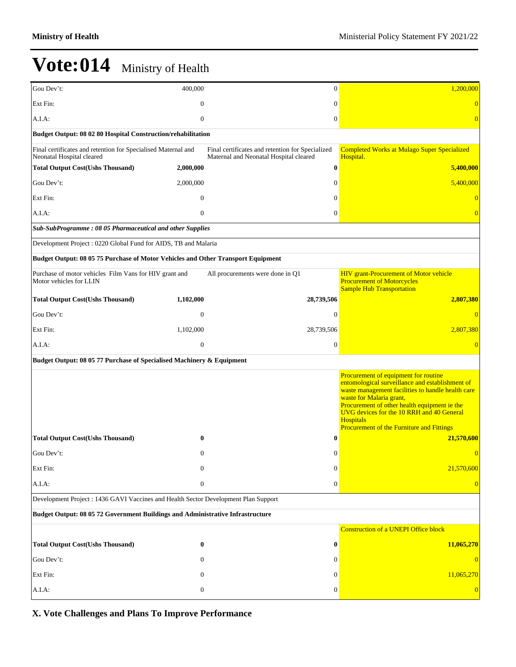| Gou Dev't:                                                                                 | 400,000                                                      | $\mathbf{0}$                                                                               | 1,200,000                                                                                                                                                                                                                                                                                                                              |  |  |  |  |  |
|--------------------------------------------------------------------------------------------|--------------------------------------------------------------|--------------------------------------------------------------------------------------------|----------------------------------------------------------------------------------------------------------------------------------------------------------------------------------------------------------------------------------------------------------------------------------------------------------------------------------------|--|--|--|--|--|
| Ext Fin:                                                                                   | $\Omega$                                                     | $\Omega$                                                                                   |                                                                                                                                                                                                                                                                                                                                        |  |  |  |  |  |
| A.I.A:                                                                                     | $\mathbf{0}$                                                 | $\theta$                                                                                   |                                                                                                                                                                                                                                                                                                                                        |  |  |  |  |  |
|                                                                                            | Budget Output: 08 02 80 Hospital Construction/rehabilitation |                                                                                            |                                                                                                                                                                                                                                                                                                                                        |  |  |  |  |  |
| Final certificates and retention for Specialised Maternal and<br>Neonatal Hospital cleared |                                                              | Final certificates and retention for Specialized<br>Maternal and Neonatal Hospital cleared | <b>Completed Works at Mulago Super Specialized</b><br>Hospital.                                                                                                                                                                                                                                                                        |  |  |  |  |  |
| <b>Total Output Cost(Ushs Thousand)</b>                                                    | 2,000,000                                                    | $\bf{0}$                                                                                   | 5,400,000                                                                                                                                                                                                                                                                                                                              |  |  |  |  |  |
| Gou Dev't:                                                                                 | 2,000,000                                                    | $\mathbf{0}$                                                                               | 5,400,000                                                                                                                                                                                                                                                                                                                              |  |  |  |  |  |
| Ext Fin:                                                                                   | $\boldsymbol{0}$                                             | $\theta$                                                                                   |                                                                                                                                                                                                                                                                                                                                        |  |  |  |  |  |
| A.I.A:                                                                                     | $\mathbf{0}$                                                 | $\boldsymbol{0}$                                                                           | $\Omega$                                                                                                                                                                                                                                                                                                                               |  |  |  |  |  |
| Sub-SubProgramme: 08 05 Pharmaceutical and other Supplies                                  |                                                              |                                                                                            |                                                                                                                                                                                                                                                                                                                                        |  |  |  |  |  |
| Development Project: 0220 Global Fund for AIDS, TB and Malaria                             |                                                              |                                                                                            |                                                                                                                                                                                                                                                                                                                                        |  |  |  |  |  |
| Budget Output: 08 05 75 Purchase of Motor Vehicles and Other Transport Equipment           |                                                              |                                                                                            |                                                                                                                                                                                                                                                                                                                                        |  |  |  |  |  |
| Purchase of motor vehicles Film Vans for HIV grant and<br>Motor vehicles for LLIN          |                                                              | All procurements were done in Q1                                                           | <b>HIV</b> grant-Procurement of Motor vehicle<br><b>Procurement of Motorcycles</b><br><b>Sample Hub Transportation</b>                                                                                                                                                                                                                 |  |  |  |  |  |
| <b>Total Output Cost(Ushs Thousand)</b>                                                    | 1,102,000                                                    | 28,739,506                                                                                 | 2,807,380                                                                                                                                                                                                                                                                                                                              |  |  |  |  |  |
| Gou Dev't:                                                                                 | $\theta$                                                     | $\mathbf{0}$                                                                               |                                                                                                                                                                                                                                                                                                                                        |  |  |  |  |  |
| Ext Fin:                                                                                   | 1,102,000                                                    | 28,739,506                                                                                 | 2,807,380                                                                                                                                                                                                                                                                                                                              |  |  |  |  |  |
| A.I.A:                                                                                     | $\mathbf{0}$                                                 | $\boldsymbol{0}$                                                                           |                                                                                                                                                                                                                                                                                                                                        |  |  |  |  |  |
| Budget Output: 08 05 77 Purchase of Specialised Machinery & Equipment                      |                                                              |                                                                                            |                                                                                                                                                                                                                                                                                                                                        |  |  |  |  |  |
|                                                                                            |                                                              |                                                                                            | Procurement of equipment for routine<br>entomological surveillance and establishment of<br>waste management facilities to handle health care<br>waste for Malaria grant,<br>Procurement of other health equipment ie the<br>UVG devices for the 10 RRH and 40 General<br><b>Hospitals</b><br>Procurement of the Furniture and Fittings |  |  |  |  |  |
| <b>Total Output Cost(Ushs Thousand)</b>                                                    | 0                                                            | $\bf{0}$                                                                                   | 21,570,600                                                                                                                                                                                                                                                                                                                             |  |  |  |  |  |
| Gou Dev't:                                                                                 | $\theta$                                                     | $\theta$                                                                                   |                                                                                                                                                                                                                                                                                                                                        |  |  |  |  |  |
| Ext Fin:                                                                                   | $\boldsymbol{0}$                                             | $\mathbf{0}$                                                                               | 21,570,600                                                                                                                                                                                                                                                                                                                             |  |  |  |  |  |
| A.I.A:                                                                                     | $\boldsymbol{0}$                                             | $\boldsymbol{0}$                                                                           | $\overline{0}$                                                                                                                                                                                                                                                                                                                         |  |  |  |  |  |
| Development Project: 1436 GAVI Vaccines and Health Sector Development Plan Support         |                                                              |                                                                                            |                                                                                                                                                                                                                                                                                                                                        |  |  |  |  |  |
| Budget Output: 08 05 72 Government Buildings and Administrative Infrastructure             |                                                              |                                                                                            |                                                                                                                                                                                                                                                                                                                                        |  |  |  |  |  |
|                                                                                            |                                                              |                                                                                            | <b>Construction of a UNEPI Office block</b>                                                                                                                                                                                                                                                                                            |  |  |  |  |  |
| <b>Total Output Cost(Ushs Thousand)</b>                                                    | $\bf{0}$                                                     | $\bf{0}$                                                                                   | 11,065,270                                                                                                                                                                                                                                                                                                                             |  |  |  |  |  |
| Gou Dev't:                                                                                 | 0                                                            | $\theta$                                                                                   |                                                                                                                                                                                                                                                                                                                                        |  |  |  |  |  |
| Ext Fin:                                                                                   | 0                                                            | $\theta$                                                                                   | 11,065,270                                                                                                                                                                                                                                                                                                                             |  |  |  |  |  |
| A.I.A:                                                                                     | $\boldsymbol{0}$                                             | $\theta$                                                                                   | $\overline{0}$                                                                                                                                                                                                                                                                                                                         |  |  |  |  |  |

**X. Vote Challenges and Plans To Improve Performance**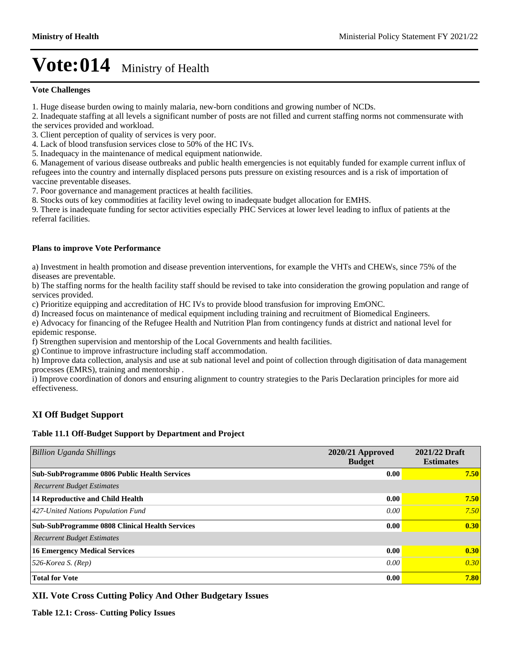#### **Vote Challenges**

1. Huge disease burden owing to mainly malaria, new-born conditions and growing number of NCDs.

2. Inadequate staffing at all levels a significant number of posts are not filled and current staffing norms not commensurate with the services provided and workload.

3. Client perception of quality of services is very poor.

4. Lack of blood transfusion services close to 50% of the HC IVs.

5. Inadequacy in the maintenance of medical equipment nationwide.

6. Management of various disease outbreaks and public health emergencies is not equitably funded for example current influx of refugees into the country and internally displaced persons puts pressure on existing resources and is a risk of importation of vaccine preventable diseases.

7. Poor governance and management practices at health facilities.

8. Stocks outs of key commodities at facility level owing to inadequate budget allocation for EMHS.

9. There is inadequate funding for sector activities especially PHC Services at lower level leading to influx of patients at the referral facilities.

#### **Plans to improve Vote Performance**

a) Investment in health promotion and disease prevention interventions, for example the VHTs and CHEWs, since 75% of the diseases are preventable.

b) The staffing norms for the health facility staff should be revised to take into consideration the growing population and range of services provided.

c) Prioritize equipping and accreditation of HC IVs to provide blood transfusion for improving EmONC.

d) Increased focus on maintenance of medical equipment including training and recruitment of Biomedical Engineers.

e) Advocacy for financing of the Refugee Health and Nutrition Plan from contingency funds at district and national level for epidemic response.

f) Strengthen supervision and mentorship of the Local Governments and health facilities.

g) Continue to improve infrastructure including staff accommodation.

h) Improve data collection, analysis and use at sub national level and point of collection through digitisation of data management processes (EMRS), training and mentorship .

i) Improve coordination of donors and ensuring alignment to country strategies to the Paris Declaration principles for more aid effectiveness.

### **XI Off Budget Support**

#### **Table 11.1 Off-Budget Support by Department and Project**

| <b>Billion Uganda Shillings</b>                       | 2020/21 Approved<br><b>Budget</b> | 2021/22 Draft<br><b>Estimates</b> |
|-------------------------------------------------------|-----------------------------------|-----------------------------------|
| <b>Sub-SubProgramme 0806 Public Health Services</b>   | 0.00                              | 7.50                              |
| <b>Recurrent Budget Estimates</b>                     |                                   |                                   |
| 14 Reproductive and Child Health                      | 0.00                              | 7.50                              |
| 427-United Nations Population Fund                    | 0.00                              | 7.50                              |
| <b>Sub-SubProgramme 0808 Clinical Health Services</b> | 0.00                              | 0.30                              |
| <b>Recurrent Budget Estimates</b>                     |                                   |                                   |
| <b>16 Emergency Medical Services</b>                  | 0.00                              | 0.30                              |
| $526$ -Korea S. (Rep)                                 | 0.00                              | 0.30                              |
| <b>Total for Vote</b>                                 | 0.00                              | 7.80                              |

### **XII. Vote Cross Cutting Policy And Other Budgetary Issues**

**Table 12.1: Cross- Cutting Policy Issues**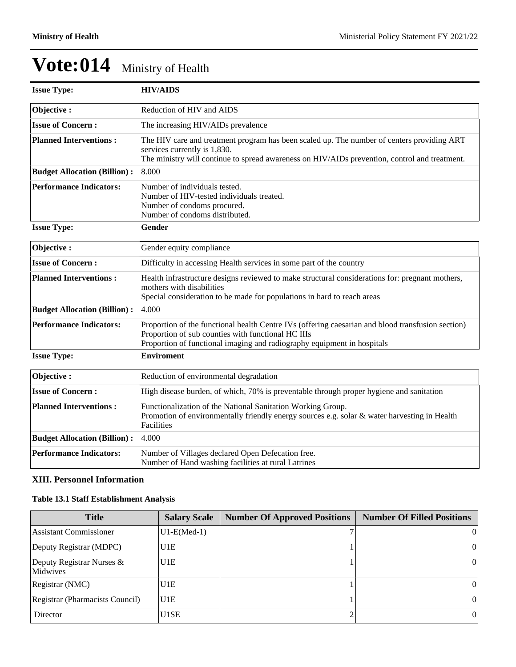| <b>Issue Type:</b>                  | <b>HIV/AIDS</b>                                                                                                                                                                                                                    |
|-------------------------------------|------------------------------------------------------------------------------------------------------------------------------------------------------------------------------------------------------------------------------------|
| Objective:                          | Reduction of HIV and AIDS                                                                                                                                                                                                          |
| <b>Issue of Concern:</b>            | The increasing HIV/AIDs prevalence                                                                                                                                                                                                 |
| <b>Planned Interventions:</b>       | The HIV care and treatment program has been scaled up. The number of centers providing ART<br>services currently is 1,830.<br>The ministry will continue to spread awareness on HIV/AIDs prevention, control and treatment.        |
| <b>Budget Allocation (Billion):</b> | 8.000                                                                                                                                                                                                                              |
| <b>Performance Indicators:</b>      | Number of individuals tested.<br>Number of HIV-tested individuals treated.<br>Number of condoms procured.<br>Number of condoms distributed.                                                                                        |
| <b>Issue Type:</b>                  | Gender                                                                                                                                                                                                                             |
| Objective:                          | Gender equity compliance                                                                                                                                                                                                           |
| <b>Issue of Concern:</b>            | Difficulty in accessing Health services in some part of the country                                                                                                                                                                |
| <b>Planned Interventions:</b>       | Health infrastructure designs reviewed to make structural considerations for: pregnant mothers,<br>mothers with disabilities<br>Special consideration to be made for populations in hard to reach areas                            |
| <b>Budget Allocation (Billion):</b> | 4.000                                                                                                                                                                                                                              |
| <b>Performance Indicators:</b>      | Proportion of the functional health Centre IVs (offering caesarian and blood transfusion section)<br>Proportion of sub counties with functional HC IIIs<br>Proportion of functional imaging and radiography equipment in hospitals |
| <b>Issue Type:</b>                  | <b>Enviroment</b>                                                                                                                                                                                                                  |
| Objective:                          | Reduction of environmental degradation                                                                                                                                                                                             |
| <b>Issue of Concern:</b>            | High disease burden, of which, 70% is preventable through proper hygiene and sanitation                                                                                                                                            |
| <b>Planned Interventions:</b>       | Functionalization of the National Sanitation Working Group.<br>Promotion of environmentally friendly energy sources e.g. solar & water harvesting in Health<br>Facilities                                                          |
| <b>Budget Allocation (Billion):</b> | 4.000                                                                                                                                                                                                                              |
| <b>Performance Indicators:</b>      | Number of Villages declared Open Defecation free.<br>Number of Hand washing facilities at rural Latrines                                                                                                                           |

### **XIII. Personnel Information**

### **Table 13.1 Staff Establishment Analysis**

| <b>Title</b>                          | <b>Salary Scale</b> | <b>Number Of Approved Positions</b> | <b>Number Of Filled Positions</b> |
|---------------------------------------|---------------------|-------------------------------------|-----------------------------------|
| <b>Assistant Commissioner</b>         | $U1-E(Med-1)$       |                                     | $\theta$                          |
| Deputy Registrar (MDPC)               | U <sub>1E</sub>     |                                     | $\Omega$                          |
| Deputy Registrar Nurses &<br>Midwives | U <sub>1E</sub>     |                                     | $\mathbf{0}$                      |
| Registrar (NMC)                       | U <sub>1E</sub>     |                                     | $\vert 0 \vert$                   |
| Registrar (Pharmacists Council)       | U1E                 |                                     | $\vert 0 \vert$                   |
| Director                              | U1SE                |                                     | $\vert$                           |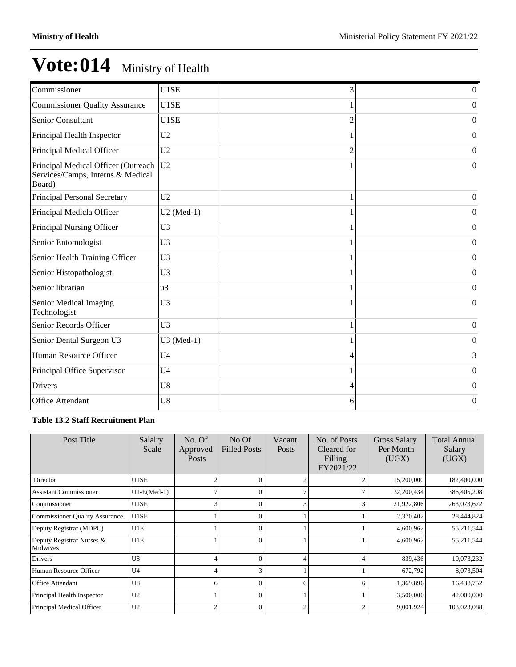| Commissioner                                                                       | U1SE           | 3              | $\vert 0 \vert$  |
|------------------------------------------------------------------------------------|----------------|----------------|------------------|
| <b>Commissioner Quality Assurance</b>                                              | U1SE           |                | $\theta$         |
| <b>Senior Consultant</b>                                                           | U1SE           | $\overline{c}$ | $\overline{0}$   |
| Principal Health Inspector                                                         | U <sub>2</sub> |                | $\overline{0}$   |
| Principal Medical Officer                                                          | U <sub>2</sub> | $\overline{c}$ | $\overline{0}$   |
| Principal Medical Officer (Outreach<br>Services/Camps, Interns & Medical<br>Board) | U2             |                | $\theta$         |
| Principal Personal Secretary                                                       | U <sub>2</sub> |                | $\theta$         |
| Principal Medicla Officer                                                          | $U2$ (Med-1)   |                | $\overline{0}$   |
| Principal Nursing Officer                                                          | U <sub>3</sub> |                | $\overline{0}$   |
| Senior Entomologist                                                                | U <sub>3</sub> |                | $\overline{0}$   |
| Senior Health Training Officer                                                     | U <sub>3</sub> |                | $\boldsymbol{0}$ |
| Senior Histopathologist                                                            | U <sub>3</sub> |                | $\overline{0}$   |
| Senior librarian                                                                   | u3             |                | $\overline{0}$   |
| Senior Medical Imaging<br>Technologist                                             | U <sub>3</sub> |                | $\boldsymbol{0}$ |
| Senior Records Officer                                                             | U <sub>3</sub> |                | $\boldsymbol{0}$ |
| Senior Dental Surgeon U3                                                           | U3 (Med-1)     |                | $\overline{0}$   |
| Human Resource Officer                                                             | U <sub>4</sub> | 4              | 3                |
| Principal Office Supervisor                                                        | U <sub>4</sub> |                | 0                |
| Drivers                                                                            | U8             | 4              | $\boldsymbol{0}$ |
| <b>Office Attendant</b>                                                            | U8             | 6              | $\boldsymbol{0}$ |

### **Table 13.2 Staff Recruitment Plan**

| Post Title                            | Salalry<br>Scale | No. Of<br>Approved<br><b>Posts</b> | No Of<br><b>Filled Posts</b> | Vacant<br><b>Posts</b> | No. of Posts<br>Cleared for<br>Filling<br>FY2021/22 | <b>Gross Salary</b><br>Per Month<br>(UGX) | <b>Total Annual</b><br>Salary<br>(UGX) |
|---------------------------------------|------------------|------------------------------------|------------------------------|------------------------|-----------------------------------------------------|-------------------------------------------|----------------------------------------|
| Director                              | U1SE             | $\overline{2}$                     | $\Omega$                     |                        |                                                     | 15,200,000                                | 182,400,000                            |
| <b>Assistant Commissioner</b>         | $U1-E(Med-1)$    | 7                                  | $\Omega$                     |                        |                                                     | 32,200,434                                | 386,405,208                            |
| Commissioner                          | U1SE             | 3                                  | $\Omega$                     |                        |                                                     | 21,922,806                                | 263,073,672                            |
| <b>Commissioner Quality Assurance</b> | U1SE             |                                    | $\Omega$                     |                        |                                                     | 2,370,402                                 | 28,444,824                             |
| Deputy Registrar (MDPC)               | U1E              |                                    | $\Omega$                     |                        |                                                     | 4,600,962                                 | 55,211,544                             |
| Deputy Registrar Nurses &<br>Midwives | U1E              |                                    | $\Omega$                     |                        |                                                     | 4,600,962                                 | 55,211,544                             |
| Drivers                               | U8               | 4                                  | $\Omega$                     |                        |                                                     | 839,436                                   | 10,073,232                             |
| Human Resource Officer                | U4               | 4                                  | 3                            |                        |                                                     | 672,792                                   | 8,073,504                              |
| <b>Office Attendant</b>               | U8               | 6                                  | $\Omega$                     | 6                      | 6                                                   | 1,369,896                                 | 16,438,752                             |
| Principal Health Inspector            | U <sub>2</sub>   |                                    | $\Omega$                     |                        |                                                     | 3,500,000                                 | 42,000,000                             |
| Principal Medical Officer             | U2               | $\overline{c}$                     | $\Omega$                     | 2                      |                                                     | 9,001,924                                 | 108,023,088                            |